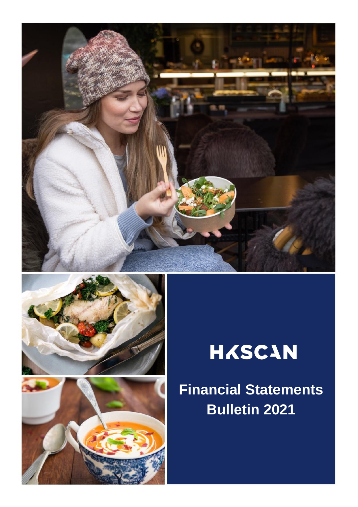





# **HASCAN**

**Financial Financial Statements Statements Bulletin 2021**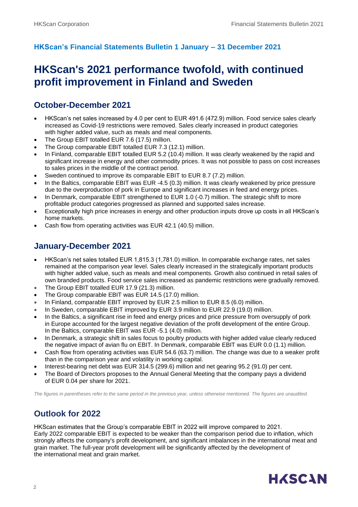### **HKScan's Financial Statements Bulletin 1 January – 31 December 2021**

### **HKScan's 2021 performance twofold, with continued profit improvement in Finland and Sweden**

### **October-December 2021**

- HKScan's net sales increased by 4.0 per cent to EUR 491.6 (472.9) million. Food service sales clearly increased as Covid-19 restrictions were removed. Sales clearly increased in product categories with higher added value, such as meals and meal components.
- The Group EBIT totalled EUR 7.6 (17.5) million.
- The Group comparable EBIT totalled EUR 7.3 (12.1) million.
- In Finland, comparable EBIT totalled EUR 5.2 (10.4) million. It was clearly weakened by the rapid and significant increase in energy and other commodity prices. It was not possible to pass on cost increases to sales prices in the middle of the contract period.
- Sweden continued to improve its comparable EBIT to EUR 8.7 (7.2) million.
- In the Baltics, comparable EBIT was EUR -4.5 (0.3) million. It was clearly weakened by price pressure due to the overproduction of pork in Europe and significant increases in feed and energy prices.
- In Denmark, comparable EBIT strengthened to EUR 1.0 (-0.7) million. The strategic shift to more profitable product categories progressed as planned and supported sales increase.
- Exceptionally high price increases in energy and other production inputs drove up costs in all HKScan's home markets.
- Cash flow from operating activities was EUR 42.1 (40.5) million.

### **January-December 2021**

- HKScan's net sales totalled EUR 1,815.3 (1,781.0) million. In comparable exchange rates, net sales remained at the comparison year level. Sales clearly increased in the strategically important products with higher added value, such as meals and meal components. Growth also continued in retail sales of own branded products. Food service sales increased as pandemic restrictions were gradually removed.
- The Group EBIT totalled EUR 17.9 (21.3) million.
- The Group comparable EBIT was EUR 14.5 (17.0) million.
- In Finland, comparable EBIT improved by EUR 2.5 million to EUR 8.5 (6.0) million.
- In Sweden, comparable EBIT improved by EUR 3.9 million to EUR 22.9 (19.0) million.
- In the Baltics, a significant rise in feed and energy prices and price pressure from oversupply of pork in Europe accounted for the largest negative deviation of the profit development of the entire Group. In the Baltics, comparable EBIT was EUR -5.1 (4.0) million.
- In Denmark, a strategic shift in sales focus to poultry products with higher added value clearly reduced the negative impact of avian flu on EBIT. In Denmark, comparable EBIT was EUR 0.0 (1.1) million.
- Cash flow from operating activities was EUR 54.6 (63.7) million. The change was due to a weaker profit than in the comparison year and volatility in working capital.
- Interest-bearing net debt was EUR 314.5 (299.6) million and net gearing 95.2 (91.0) per cent.
- The Board of Directors proposes to the Annual General Meeting that the company pays a dividend of EUR 0.04 per share for 2021.

*The figures in parentheses refer to the same period in the previous year, unless otherwise mentioned. The figures are unaudited.*

### **Outlook for 2022**

HKScan estimates that the Group's comparable EBIT in 2022 will improve compared to 2021. Early 2022 comparable EBIT is expected to be weaker than the comparison period due to inflation, which strongly affects the company's profit development, and significant imbalances in the international meat and grain market. The full-year profit development will be significantly affected by the development of the international meat and grain market.

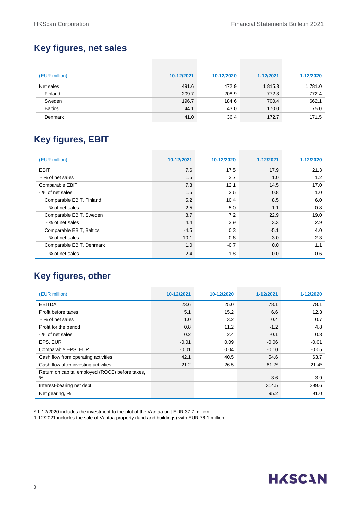### **Key figures, net sales**

| (EUR million)  | 10-12/2021 | 10-12/2020 | 1-12/2021 | 1-12/2020 |
|----------------|------------|------------|-----------|-----------|
| Net sales      | 491.6      | 472.9      | 1815.3    | 1 781.0   |
| Finland        | 209.7      | 208.9      | 772.3     | 772.4     |
| Sweden         | 196.7      | 184.6      | 700.4     | 662.1     |
| <b>Baltics</b> | 44.1       | 43.0       | 170.0     | 175.0     |
| Denmark        | 41.0       | 36.4       | 172.7     | 171.5     |

### **Key figures, EBIT**

| (EUR million)            | 10-12/2021 | 10-12/2020 | 1-12/2021 | 1-12/2020 |
|--------------------------|------------|------------|-----------|-----------|
| <b>EBIT</b>              | 7.6        | 17.5       | 17.9      | 21.3      |
| - % of net sales         | 1.5        | 3.7        | 1.0       | 1.2       |
| Comparable EBIT          | 7.3        | 12.1       | 14.5      | 17.0      |
| - % of net sales         | 1.5        | 2.6        | 0.8       | 1.0       |
| Comparable EBIT, Finland | 5.2        | 10.4       | 8.5       | 6.0       |
| - % of net sales         | 2.5        | 5.0        | 1.1       | 0.8       |
| Comparable EBIT, Sweden  | 8.7        | 7.2        | 22.9      | 19.0      |
| - % of net sales         | 4.4        | 3.9        | 3.3       | 2.9       |
| Comparable EBIT, Baltics | $-4.5$     | 0.3        | $-5.1$    | 4.0       |
| - % of net sales         | $-10.1$    | 0.6        | $-3.0$    | 2.3       |
| Comparable EBIT, Denmark | 1.0        | $-0.7$     | 0.0       | 1.1       |
| - % of net sales         | 2.4        | $-1.8$     | 0.0       | 0.6       |

### **Key figures, other**

| (EUR million)                                        | 10-12/2021 | 10-12/2020 | 1-12/2021 | 1-12/2020 |
|------------------------------------------------------|------------|------------|-----------|-----------|
| <b>EBITDA</b>                                        | 23.6       | 25.0       | 78.1      | 78.1      |
| Profit before taxes                                  | 5.1        | 15.2       | 6.6       | 12.3      |
| - % of net sales                                     | 1.0        | 3.2        | 0.4       | 0.7       |
| Profit for the period                                | 0.8        | 11.2       | $-1.2$    | 4.8       |
| - % of net sales                                     | 0.2        | 2.4        | $-0.1$    | 0.3       |
| EPS, EUR                                             | $-0.01$    | 0.09       | $-0.06$   | $-0.01$   |
| Comparable EPS, EUR                                  | $-0.01$    | 0.04       | $-0.10$   | $-0.05$   |
| Cash flow from operating activities                  | 42.1       | 40.5       | 54.6      | 63.7      |
| Cash flow after investing activities                 | 21.2       | 26.5       | $81.2*$   | $-21.4*$  |
| Return on capital employed (ROCE) before taxes,<br>% |            |            | 3.6       | 3.9       |
| Interest-bearing net debt                            |            |            | 314.5     | 299.6     |
| Net gearing, %                                       |            |            | 95.2      | 91.0      |

\* 1-12/2020 includes the investment to the plot of the Vantaa unit EUR 37.7 million.

1-12/2021 includes the sale of Vantaa property (land and buildings) with EUR 76.1 million.

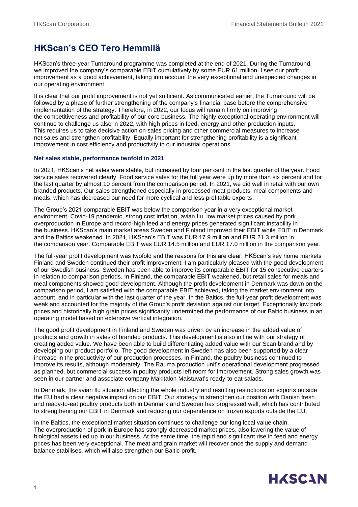### **HKScan's CEO Tero Hemmilä**

HKScan's three-year Turnaround programme was completed at the end of 2021. During the Turnaround, we improved the company's comparable EBIT cumulatively by some EUR 61 million. I see our profit improvement as a good achievement, taking into account the very exceptional and unexpected changes in our operating environment.

It is clear that our profit improvement is not yet sufficient. As communicated earlier, the Turnaround will be followed by a phase of further strengthening of the company's financial base before the comprehensive implementation of the strategy. Therefore, in 2022, our focus will remain firmly on improving the competitiveness and profitability of our core business. The highly exceptional operating environment will continue to challenge us also in 2022, with high prices in feed, energy and other production inputs. This requires us to take decisive action on sales pricing and other commercial measures to increase net sales and strengthen profitability. Equally important for strengthening profitability is a significant improvement in cost efficiency and productivity in our industrial operations.

#### **Net sales stable, performance twofold in 2021**

In 2021, HKScan's net sales were stable, but increased by four per cent in the last quarter of the year. Food service sales recovered clearly. Food service sales for the full year were up by more than six percent and for the last quarter by almost 10 percent from the comparison period. In 2021, we did well in retail with our own branded products. Our sales strengthened especially in processed meat products, meal components and meals, which has decreased our need for more cyclical and less profitable exports.

The Group's 2021 comparable EBIT was below the comparison year in a very exceptional market environment. Covid-19 pandemic, strong cost inflation, avian flu, low market prices caused by pork overproduction in Europe and record-high feed and energy prices generated significant instability in the business. HKScan's main market areas Sweden and Finland improved their EBIT while EBIT in Denmark and the Baltics weakened. In 2021, HKScan's EBIT was EUR 17.9 million and EUR 21.3 million in the comparison year. Comparable EBIT was EUR 14.5 million and EUR 17.0 million in the comparison year.

The full-year profit development was twofold and the reasons for this are clear. HKScan's key home markets Finland and Sweden continued their profit improvement. I am particularly pleased with the good development of our Swedish business. Sweden has been able to improve its comparable EBIT for 15 consecutive quarters in relation to comparison periods. In Finland, the comparable EBIT weakened, but retail sales for meals and meal components showed good development. Although the profit development in Denmark was down on the comparison period, I am satisfied with the comparable EBIT achieved, taking the market environment into account, and in particular with the last quarter of the year. In the Baltics, the full-year profit development was weak and accounted for the majority of the Group's profit deviation against our target. Exceptionally low pork prices and historically high grain prices significantly undermined the performance of our Baltic business in an operating model based on extensive vertical integration.

The good profit development in Finland and Sweden was driven by an increase in the added value of products and growth in sales of branded products. This development is also in line with our strategy of creating added value. We have been able to build differentiating added value with our Scan brand and by developing our product portfolio. The good development in Sweden has also been supported by a clear increase in the productivity of our production processes. In Finland, the poultry business continued to improve its results, although moderately. The Rauma production unit's operational development progressed as planned, but commercial success in poultry products left room for improvement. Strong sales growth was seen in our partner and associate company Mäkitalon Maistuvat's ready-to-eat salads.

In Denmark, the avian flu situation affecting the whole industry and resulting restrictions on exports outside the EU had a clear negative impact on our EBIT. Our strategy to strengthen our position with Danish fresh and ready-to-eat poultry products both in Denmark and Sweden has progressed well, which has contributed to strengthening our EBIT in Denmark and reducing our dependence on frozen exports outside the EU.

In the Baltics, the exceptional market situation continues to challenge our long local value chain. The overproduction of pork in Europe has strongly decreased market prices, also lowering the value of biological assets tied up in our business. At the same time, the rapid and significant rise in feed and energy prices has been very exceptional. The meat and grain market will recover once the supply and demand balance stabilises, which will also strengthen our Baltic profit.

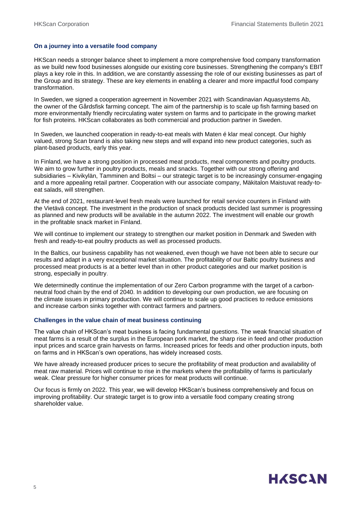#### **On a journey into a versatile food company**

HKScan needs a stronger balance sheet to implement a more comprehensive food company transformation as we build new food businesses alongside our existing core businesses. Strengthening the company's EBIT plays a key role in this. In addition, we are constantly assessing the role of our existing businesses as part of the Group and its strategy. These are key elements in enabling a clearer and more impactful food company transformation.

In Sweden, we signed a cooperation agreement in November 2021 with Scandinavian Aquasystems Ab, the owner of the Gårdsfisk farming concept. The aim of the partnership is to scale up fish farming based on more environmentally friendly recirculating water system on farms and to participate in the growing market for fish proteins. HKScan collaborates as both commercial and production partner in Sweden.

In Sweden, we launched cooperation in ready-to-eat meals with Maten é klar meal concept. Our highly valued, strong Scan brand is also taking new steps and will expand into new product categories, such as plant-based products, early this year.

In Finland, we have a strong position in processed meat products, meal components and poultry products. We aim to grow further in poultry products, meals and snacks. Together with our strong offering and subsidiaries – Kivikylän, Tamminen and Boltsi – our strategic target is to be increasingly consumer-engaging and a more appealing retail partner. Cooperation with our associate company, Mäkitalon Maistuvat ready-toeat salads, will strengthen.

At the end of 2021, restaurant-level fresh meals were launched for retail service counters in Finland with the Vietävä concept. The investment in the production of snack products decided last summer is progressing as planned and new products will be available in the autumn 2022. The investment will enable our growth in the profitable snack market in Finland.

We will continue to implement our strategy to strengthen our market position in Denmark and Sweden with fresh and ready-to-eat poultry products as well as processed products.

In the Baltics, our business capability has not weakened, even though we have not been able to secure our results and adapt in a very exceptional market situation. The profitability of our Baltic poultry business and processed meat products is at a better level than in other product categories and our market position is strong, especially in poultry.

We determinedly continue the implementation of our Zero Carbon programme with the target of a carbonneutral food chain by the end of 2040. In addition to developing our own production, we are focusing on the climate issues in primary production. We will continue to scale up good practices to reduce emissions and increase carbon sinks together with contract farmers and partners.

#### **Challenges in the value chain of meat business continuing**

The value chain of HKScan's meat business is facing fundamental questions. The weak financial situation of meat farms is a result of the surplus in the European pork market, the sharp rise in feed and other production input prices and scarce grain harvests on farms. Increased prices for feeds and other production inputs, both on farms and in HKScan's own operations, has widely increased costs.

We have already increased producer prices to secure the profitability of meat production and availability of meat raw material. Prices will continue to rise in the markets where the profitability of farms is particularly weak. Clear pressure for higher consumer prices for meat products will continue.

Our focus is firmly on 2022. This year, we will develop HKScan's business comprehensively and focus on improving profitability. Our strategic target is to grow into a versatile food company creating strong shareholder value.

## **HASCAN**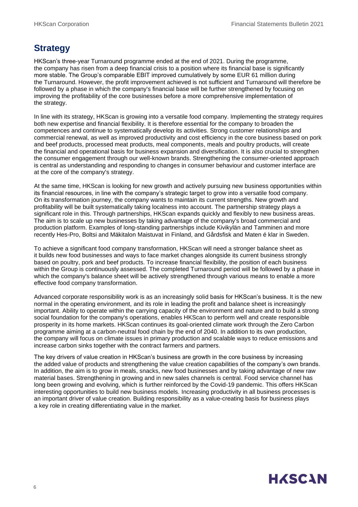### **Strategy**

HKScan's three-year Turnaround programme ended at the end of 2021. During the programme, the company has risen from a deep financial crisis to a position where its financial base is significantly more stable. The Group's comparable EBIT improved cumulatively by some EUR 61 million during the Turnaround. However, the profit improvement achieved is not sufficient and Turnaround will therefore be followed by a phase in which the company's financial base will be further strengthened by focusing on improving the profitability of the core businesses before a more comprehensive implementation of the strategy.

In line with its strategy, HKScan is growing into a versatile food company. Implementing the strategy requires both new expertise and financial flexibility. It is therefore essential for the company to broaden the competences and continue to systematically develop its activities. Strong customer relationships and commercial renewal, as well as improved productivity and cost efficiency in the core business based on pork and beef products, processed meat products, meal components, meals and poultry products, will create the financial and operational basis for business expansion and diversification. It is also crucial to strengthen the consumer engagement through our well-known brands. Strengthening the consumer-oriented approach is central as understanding and responding to changes in consumer behaviour and customer interface are at the core of the company's strategy.

At the same time, HKScan is looking for new growth and actively pursuing new business opportunities within its financial resources, in line with the company's strategic target to grow into a versatile food company. On its transformation journey, the company wants to maintain its current strengths. New growth and profitability will be built systematically taking localness into account. The partnership strategy plays a significant role in this. Through partnerships, HKScan expands quickly and flexibly to new business areas. The aim is to scale up new businesses by taking advantage of the company's broad commercial and production platform. Examples of long-standing partnerships include Kivikylän and Tamminen and more recently Hes-Pro, Boltsi and Mäkitalon Maistuvat in Finland, and Gårdsfisk and Maten é klar in Sweden.

To achieve a significant food company transformation, HKScan will need a stronger balance sheet as it builds new food businesses and ways to face market changes alongside its current business strongly based on poultry, pork and beef products. To increase financial flexibility, the position of each business within the Group is continuously assessed. The completed Turnaround period will be followed by a phase in which the company's balance sheet will be actively strengthened through various means to enable a more effective food company transformation.

Advanced corporate responsibility work is as an increasingly solid basis for HKScan's business. It is the new normal in the operating environment, and its role in leading the profit and balance sheet is increasingly important. Ability to operate within the carrying capacity of the environment and nature and to build a strong social foundation for the company's operations, enables HKScan to perform well and create responsible prosperity in its home markets. HKScan continues its goal-oriented climate work through the Zero Carbon programme aiming at a carbon-neutral food chain by the end of 2040. In addition to its own production, the company will focus on climate issues in primary production and scalable ways to reduce emissions and increase carbon sinks together with the contract farmers and partners.

The key drivers of value creation in HKScan's business are growth in the core business by increasing the added value of products and strengthening the value creation capabilities of the company's own brands. In addition, the aim is to grow in meals, snacks, new food businesses and by taking advantage of new raw material bases. Strengthening in growing and in new sales channels is central. Food service channel has long been growing and evolving, which is further reinforced by the Covid-19 pandemic. This offers HKScan interesting opportunities to build new business models. Increasing productivity in all business processes is an important driver of value creation. Building responsibility as a value-creating basis for business plays a key role in creating differentiating value in the market.

## **HASCAN**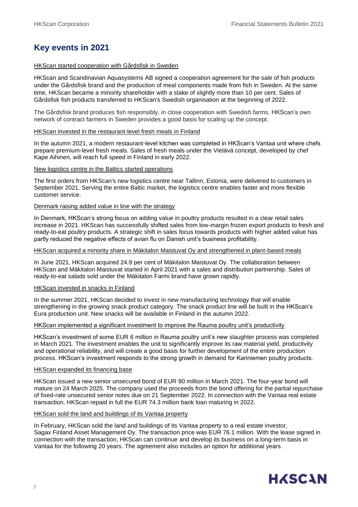### **Key events in 2021**

#### HKScan started cooperation with Gårdsfisk in Sweden

HKScan and Scandinavian Aquasystems AB signed a cooperation agreement for the sale of fish products under the Gårdsfisk brand and the production of meal components made from fish in Sweden. At the same time, HKScan became a minority shareholder with a stake of slightly more than 10 per cent. Sales of Gårdsfisk fish products transferred to HKScan's Swedish organisation at the beginning of 2022.

The Gårdsfisk brand produces fish responsibly, in close cooperation with Swedish farms. HKScan's own network of contract farmers in Sweden provides a good basis for scaling up the concept.

#### HKScan invested in the restaurant-level fresh meals in Finland

In the autumn 2021, a modern restaurant-level kitchen was completed in HKScan's Vantaa unit where chefs prepare premium-level fresh meals. Sales of fresh meals under the Vietävä concept, developed by chef Kape Aihinen, will reach full speed in Finland in early 2022.

#### New logistics centre in the Baltics started operations

The first orders from HKScan's new logistics centre near Tallinn, Estonia, were delivered to customers in September 2021. Serving the entire Baltic market, the logistics centre enables faster and more flexible customer service.

#### Denmark raising added value in line with the strategy

In Denmark, HKScan's strong focus on adding value in poultry products resulted in a clear retail sales increase in 2021. HKScan has successfully shifted sales from low-margin frozen export products to fresh and ready-to-eat poultry products. A strategic shift in sales focus towards products with higher added value has partly reduced the negative effects of avian flu on Danish unit's business profitability.

#### HKScan acquired a minority share in Mäkitalon Maistuvat Oy and strengthened in plant-based meals

In June 2021, HKScan acquired 24.9 per cent of Mäkitalon Maistuvat Oy. The collaboration between HKScan and Mäkitalon Maistuvat started in April 2021 with a sales and distribution partnership. Sales of ready-to-eat salads sold under the Mäkitalon Farmi brand have grown rapidly.

#### HKScan invested in snacks in Finland

In the summer 2021, HKScan decided to invest in new manufacturing technology that will enable strengthening in the growing snack product category. The snack product line will be built in the HKScan's Eura production unit. New snacks will be available in Finland in the autumn 2022.

#### HKScan implemented a significant investment to improve the Rauma poultry unit's productivity

HKScan's investment of some EUR 6 million in Rauma poultry unit's new slaughter process was completed in March 2021. The investment enables the unit to significantly improve its raw material yield, productivity and operational reliability, and will create a good basis for further development of the entire production process. HKScan's investment responds to the strong growth in demand for Kariniemen poultry products.

#### HKScan expanded its financing base

HKScan issued a new senior unsecured bond of EUR 90 million in March 2021. The four-year bond will mature on 24 March 2025. The company used the proceeds from the bond offering for the partial repurchase of fixed-rate unsecured senior notes due on 21 September 2022. In connection with the Vantaa real estate transaction, HKScan repaid in full the EUR 74.3 million bank loan maturing in 2022.

#### HKScan sold the land and buildings of its Vantaa property

In February, HKScan sold the land and buildings of its Vantaa property to a real estate investor, Sagax Finland Asset Management Oy. The transaction price was EUR 76.1 million. With the lease signed in connection with the transaction, HKScan can continue and develop its business on a long-term basis in Vantaa for the following 20 years. The agreement also includes an option for additional years.

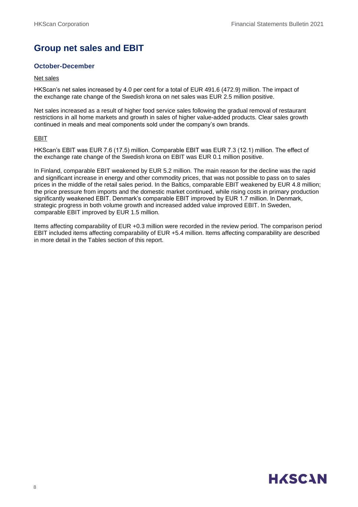### **Group net sales and EBIT**

#### **October-December**

#### Net sales

HKScan's net sales increased by 4.0 per cent for a total of EUR 491.6 (472.9) million. The impact of the exchange rate change of the Swedish krona on net sales was EUR 2.5 million positive.

Net sales increased as a result of higher food service sales following the gradual removal of restaurant restrictions in all home markets and growth in sales of higher value-added products. Clear sales growth continued in meals and meal components sold under the company's own brands.

#### EBIT

HKScan's EBIT was EUR 7.6 (17.5) million. Comparable EBIT was EUR 7.3 (12.1) million. The effect of the exchange rate change of the Swedish krona on EBIT was EUR 0.1 million positive.

In Finland, comparable EBIT weakened by EUR 5.2 million. The main reason for the decline was the rapid and significant increase in energy and other commodity prices, that was not possible to pass on to sales prices in the middle of the retail sales period. In the Baltics, comparable EBIT weakened by EUR 4.8 million; the price pressure from imports and the domestic market continued, while rising costs in primary production significantly weakened EBIT. Denmark's comparable EBIT improved by EUR 1.7 million. In Denmark, strategic progress in both volume growth and increased added value improved EBIT. In Sweden, comparable EBIT improved by EUR 1.5 million.

Items affecting comparability of EUR +0.3 million were recorded in the review period. The comparison period EBIT included items affecting comparability of EUR +5.4 million. Items affecting comparability are described in more detail in the Tables section of this report.

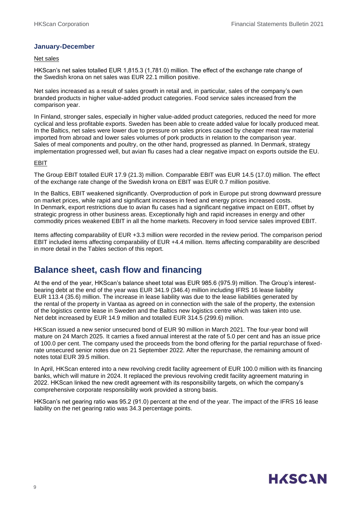#### **January-December**

#### Net sales

HKScan's net sales totalled EUR 1,815.3 (1,781.0) million. The effect of the exchange rate change of the Swedish krona on net sales was EUR 22.1 million positive.

Net sales increased as a result of sales growth in retail and, in particular, sales of the company's own branded products in higher value-added product categories. Food service sales increased from the comparison year.

In Finland, stronger sales, especially in higher value-added product categories, reduced the need for more cyclical and less profitable exports. Sweden has been able to create added value for locally produced meat. In the Baltics, net sales were lower due to pressure on sales prices caused by cheaper meat raw material imported from abroad and lower sales volumes of pork products in relation to the comparison year. Sales of meal components and poultry, on the other hand, progressed as planned. In Denmark, strategy implementation progressed well, but avian flu cases had a clear negative impact on exports outside the EU.

#### EBIT

The Group EBIT totalled EUR 17.9 (21.3) million. Comparable EBIT was EUR 14.5 (17.0) million. The effect of the exchange rate change of the Swedish krona on EBIT was EUR 0.7 million positive.

In the Baltics, EBIT weakened significantly. Overproduction of pork in Europe put strong downward pressure on market prices, while rapid and significant increases in feed and energy prices increased costs. In Denmark, export restrictions due to avian flu cases had a significant negative impact on EBIT, offset by strategic progress in other business areas. Exceptionally high and rapid increases in energy and other commodity prices weakened EBIT in all the home markets. Recovery in food service sales improved EBIT.

Items affecting comparability of EUR +3.3 million were recorded in the review period. The comparison period EBIT included items affecting comparability of EUR +4.4 million. Items affecting comparability are described in more detail in the Tables section of this report.

### **Balance sheet, cash flow and financing**

At the end of the year, HKScan's balance sheet total was EUR 985.6 (975.9) million. The Group's interestbearing debt at the end of the year was EUR 341.9 (346.4) million including IFRS 16 lease liability EUR 113.4 (35.6) million. The increase in lease liability was due to the lease liabilities generated by the rental of the property in Vantaa as agreed on in connection with the sale of the property, the extension of the logistics centre lease in Sweden and the Baltics new logistics centre which was taken into use. Net debt increased by EUR 14.9 million and totalled EUR 314.5 (299.6) million.

HKScan issued a new senior unsecured bond of EUR 90 million in March 2021. The four-year bond will mature on 24 March 2025. It carries a fixed annual interest at the rate of 5.0 per cent and has an issue price of 100.0 per cent. The company used the proceeds from the bond offering for the partial repurchase of fixedrate unsecured senior notes due on 21 September 2022. After the repurchase, the remaining amount of notes total EUR 39.5 million.

In April, HKScan entered into a new revolving credit facility agreement of EUR 100.0 million with its financing banks, which will mature in 2024. It replaced the previous revolving credit facility agreement maturing in 2022. HKScan linked the new credit agreement with its responsibility targets, on which the company's comprehensive corporate responsibility work provided a strong basis.

HKScan's net gearing ratio was 95.2 (91.0) percent at the end of the year. The impact of the IFRS 16 lease liability on the net gearing ratio was 34.3 percentage points.

## **HASCAN**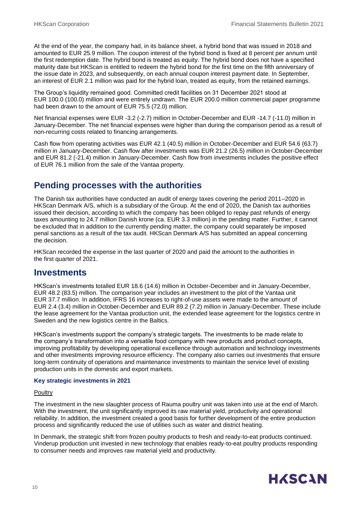At the end of the year, the company had, in its balance sheet, a hybrid bond that was issued in 2018 and amounted to EUR 25.9 million. The coupon interest of the hybrid bond is fixed at 8 percent per annum until the first redemption date. The hybrid bond is treated as equity. The hybrid bond does not have a specified maturity date but HKScan is entitled to redeem the hybrid bond for the first time on the fifth anniversary of the issue date in 2023, and subsequently, on each annual coupon interest payment date. In September, an interest of EUR 2.1 million was paid for the hybrid loan, treated as equity, from the retained earnings.

The Group's liquidity remained good. Committed credit facilities on 31 December 2021 stood at EUR 100.0 (100.0) million and were entirely undrawn. The EUR 200.0 million commercial paper programme had been drawn to the amount of EUR 75.5 (72.0) million.

Net financial expenses were EUR -3.2 (-2.7) million in October-December and EUR -14.7 (-11.0) million in January-December. The net financial expenses were higher than during the comparison period as a result of non-recurring costs related to financing arrangements.

Cash flow from operating activities was EUR 42.1 (40.5) million in October-December and EUR 54.6 (63.7) million in January-December. Cash flow after investments was EUR 21.2 (26.5) million in October-December and EUR 81.2 (-21.4) million in January-December. Cash flow from investments includes the positive effect of EUR 76.1 million from the sale of the Vantaa property.

### **Pending processes with the authorities**

The Danish tax authorities have conducted an audit of energy taxes covering the period 2011–2020 in HKScan Denmark A/S, which is a subsidiary of the Group. At the end of 2020, the Danish tax authorities issued their decision, according to which the company has been obliged to repay past refunds of energy taxes amounting to 24.7 million Danish krone (ca. EUR 3.3 million) in the pending matter. Further, it cannot be excluded that in addition to the currently pending matter, the company could separately be imposed penal sanctions as a result of the tax audit. HKScan Denmark A/S has submitted an appeal concerning the decision.

HKScan recorded the expense in the last quarter of 2020 and paid the amount to the authorities in the first quarter of 2021.

### **Investments**

HKScan's investments totalled EUR 18.6 (14.6) million in October-December and in January-December, EUR 48.2 (83.5) million. The comparison year includes an investment to the plot of the Vantaa unit EUR 37.7 million. In addition, IFRS 16 increases to right-of-use assets were made to the amount of EUR 2.4 (3.4) million in October-December and EUR 89.2 (7.2) million in January-December. These include the lease agreement for the Vantaa production unit, the extended lease agreement for the logistics centre in Sweden and the new logistics centre in the Baltics.

HKScan's investments support the company's strategic targets. The investments to be made relate to the company's transformation into a versatile food company with new products and product concepts, improving profitability by developing operational excellence through automation and technology investments and other investments improving resource efficiency. The company also carries out investments that ensure long-term continuity of operations and maintenance investments to maintain the service level of existing production units in the domestic and export markets.

#### **Key strategic investments in 2021**

#### **Poultry**

The investment in the new slaughter process of Rauma poultry unit was taken into use at the end of March. With the investment, the unit significantly improved its raw material yield, productivity and operational reliability. In addition, the investment created a good basis for further development of the entire production process and significantly reduced the use of utilities such as water and district heating.

In Denmark, the strategic shift from frozen poultry products to fresh and ready-to-eat products continued. Vinderup production unit invested in new technology that enables ready-to-eat poultry products responding to consumer needs and improves raw material yield and productivity.

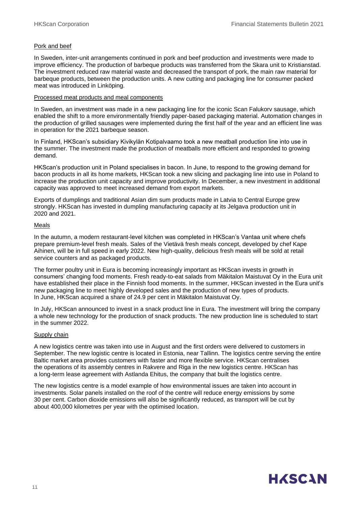#### Pork and beef

In Sweden, inter-unit arrangements continued in pork and beef production and investments were made to improve efficiency. The production of barbeque products was transferred from the Skara unit to Kristianstad. The investment reduced raw material waste and decreased the transport of pork, the main raw material for barbeque products, between the production units. A new cutting and packaging line for consumer packed meat was introduced in Linköping.

#### Processed meat products and meal components

In Sweden, an investment was made in a new packaging line for the iconic Scan Falukorv sausage, which enabled the shift to a more environmentally friendly paper-based packaging material. Automation changes in the production of grilled sausages were implemented during the first half of the year and an efficient line was in operation for the 2021 barbeque season.

In Finland, HKScan's subsidiary Kivikylän Kotipalvaamo took a new meatball production line into use in the summer. The investment made the production of meatballs more efficient and responded to growing demand.

HKScan's production unit in Poland specialises in bacon. In June, to respond to the growing demand for bacon products in all its home markets, HKScan took a new slicing and packaging line into use in Poland to increase the production unit capacity and improve productivity. In December, a new investment in additional capacity was approved to meet increased demand from export markets.

Exports of dumplings and traditional Asian dim sum products made in Latvia to Central Europe grew strongly. HKScan has invested in dumpling manufacturing capacity at its Jelgava production unit in 2020 and 2021.

#### Meals

In the autumn, a modern restaurant-level kitchen was completed in HKScan's Vantaa unit where chefs prepare premium-level fresh meals. Sales of the Vietävä fresh meals concept, developed by chef Kape Aihinen, will be in full speed in early 2022. New high-quality, delicious fresh meals will be sold at retail service counters and as packaged products.

The former poultry unit in Eura is becoming increasingly important as HKScan invests in growth in consumers' changing food moments. Fresh ready-to-eat salads from Mäkitalon Maistuvat Oy in the Eura unit have established their place in the Finnish food moments. In the summer, HKScan invested in the Eura unit's new packaging line to meet highly developed sales and the production of new types of products. In June, HKScan acquired a share of 24.9 per cent in Mäkitalon Maistuvat Oy.

In July, HKScan announced to invest in a snack product line in Eura. The investment will bring the company a whole new technology for the production of snack products. The new production line is scheduled to start in the summer 2022.

#### Supply chain

A new logistics centre was taken into use in August and the first orders were delivered to customers in September. The new logistic centre is located in Estonia, near Tallinn. The logistics centre serving the entire Baltic market area provides customers with faster and more flexible service. HKScan centralises the operations of its assembly centres in Rakvere and Riga in the new logistics centre. HKScan has a long-term lease agreement with Astlanda Ehitus, the company that built the logistics centre.

The new logistics centre is a model example of how environmental issues are taken into account in investments. Solar panels installed on the roof of the centre will reduce energy emissions by some 30 per cent. Carbon dioxide emissions will also be significantly reduced, as transport will be cut by about 400,000 kilometres per year with the optimised location.

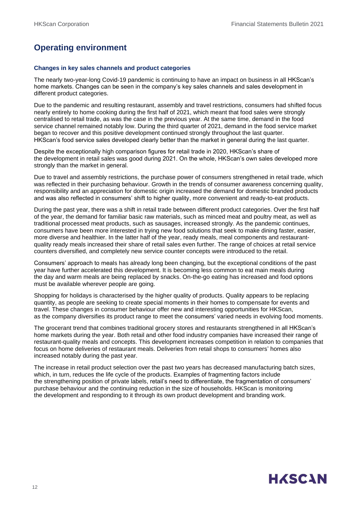### **Operating environment**

#### **Changes in key sales channels and product categories**

The nearly two-year-long Covid-19 pandemic is continuing to have an impact on business in all HKScan's home markets. Changes can be seen in the company's key sales channels and sales development in different product categories.

Due to the pandemic and resulting restaurant, assembly and travel restrictions, consumers had shifted focus nearly entirely to home cooking during the first half of 2021, which meant that food sales were strongly centralised to retail trade, as was the case in the previous year. At the same time, demand in the food service channel remained notably low. During the third quarter of 2021, demand in the food service market began to recover and this positive development continued strongly throughout the last quarter. HKScan's food service sales developed clearly better than the market in general during the last quarter.

Despite the exceptionally high comparison figures for retail trade in 2020, HKScan's share of the development in retail sales was good during 2021. On the whole, HKScan's own sales developed more strongly than the market in general.

Due to travel and assembly restrictions, the purchase power of consumers strengthened in retail trade, which was reflected in their purchasing behaviour. Growth in the trends of consumer awareness concerning quality, responsibility and an appreciation for domestic origin increased the demand for domestic branded products and was also reflected in consumers' shift to higher quality, more convenient and ready-to-eat products.

During the past year, there was a shift in retail trade between different product categories. Over the first half of the year, the demand for familiar basic raw materials, such as minced meat and poultry meat, as well as traditional processed meat products, such as sausages, increased strongly. As the pandemic continues, consumers have been more interested in trying new food solutions that seek to make dining faster, easier, more diverse and healthier. In the latter half of the year, ready meals, meal components and restaurantquality ready meals increased their share of retail sales even further. The range of choices at retail service counters diversified, and completely new service counter concepts were introduced to the retail.

Consumers' approach to meals has already long been changing, but the exceptional conditions of the past year have further accelerated this development. It is becoming less common to eat main meals during the day and warm meals are being replaced by snacks. On-the-go eating has increased and food options must be available wherever people are going.

Shopping for holidays is characterised by the higher quality of products. Quality appears to be replacing quantity, as people are seeking to create special moments in their homes to compensate for events and travel. These changes in consumer behaviour offer new and interesting opportunities for HKScan, as the company diversifies its product range to meet the consumers' varied needs in evolving food moments.

The grocerant trend that combines traditional grocery stores and restaurants strengthened in all HKScan's home markets during the year. Both retail and other food industry companies have increased their range of restaurant-quality meals and concepts. This development increases competition in relation to companies that focus on home deliveries of restaurant meals. Deliveries from retail shops to consumers' homes also increased notably during the past year.

The increase in retail product selection over the past two years has decreased manufacturing batch sizes, which, in turn, reduces the life cycle of the products. Examples of fragmenting factors include the strengthening position of private labels, retail's need to differentiate, the fragmentation of consumers' purchase behaviour and the continuing reduction in the size of households. HKScan is monitoring the development and responding to it through its own product development and branding work.

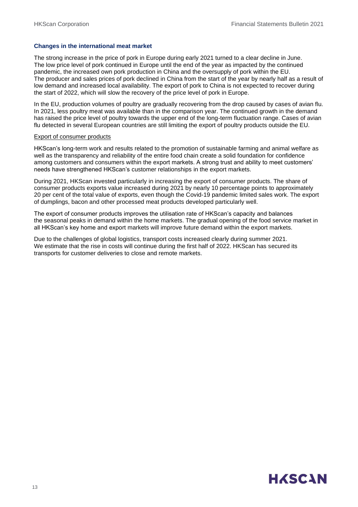#### **Changes in the international meat market**

The strong increase in the price of pork in Europe during early 2021 turned to a clear decline in June. The low price level of pork continued in Europe until the end of the year as impacted by the continued pandemic, the increased own pork production in China and the oversupply of pork within the EU. The producer and sales prices of pork declined in China from the start of the year by nearly half as a result of low demand and increased local availability. The export of pork to China is not expected to recover during the start of 2022, which will slow the recovery of the price level of pork in Europe.

In the EU, production volumes of poultry are gradually recovering from the drop caused by cases of avian flu. In 2021, less poultry meat was available than in the comparison year. The continued growth in the demand has raised the price level of poultry towards the upper end of the long-term fluctuation range. Cases of avian flu detected in several European countries are still limiting the export of poultry products outside the EU.

#### Export of consumer products

HKScan's long-term work and results related to the promotion of sustainable farming and animal welfare as well as the transparency and reliability of the entire food chain create a solid foundation for confidence among customers and consumers within the export markets. A strong trust and ability to meet customers' needs have strengthened HKScan's customer relationships in the export markets.

During 2021, HKScan invested particularly in increasing the export of consumer products. The share of consumer products exports value increased during 2021 by nearly 10 percentage points to approximately 20 per cent of the total value of exports, even though the Covid-19 pandemic limited sales work. The export of dumplings, bacon and other processed meat products developed particularly well.

The export of consumer products improves the utilisation rate of HKScan's capacity and balances the seasonal peaks in demand within the home markets. The gradual opening of the food service market in all HKScan's key home and export markets will improve future demand within the export markets.

Due to the challenges of global logistics, transport costs increased clearly during summer 2021. We estimate that the rise in costs will continue during the first half of 2022. HKScan has secured its transports for customer deliveries to close and remote markets.

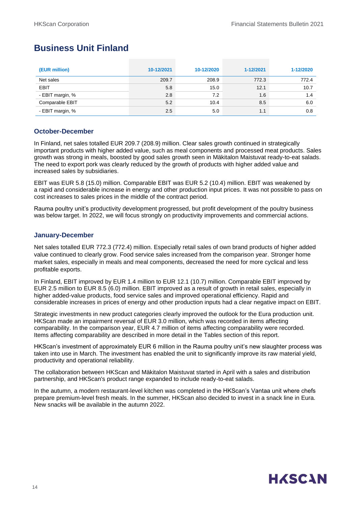### **Business Unit Finland**

| (EUR million)    | 10-12/2021 | 10-12/2020 | 1-12/2021 | 1-12/2020 |
|------------------|------------|------------|-----------|-----------|
| Net sales        | 209.7      | 208.9      | 772.3     | 772.4     |
| <b>EBIT</b>      | 5.8        | 15.0       | 12.1      | 10.7      |
| - EBIT margin, % | 2.8        | 7.2        | 1.6       | 1.4       |
| Comparable EBIT  | 5.2        | 10.4       | 8.5       | 6.0       |
| - EBIT margin, % | 2.5        | 5.0        | 1.1       | 0.8       |

#### **October-December**

In Finland, net sales totalled EUR 209.7 (208.9) million. Clear sales growth continued in strategically important products with higher added value, such as meal components and processed meat products. Sales growth was strong in meals, boosted by good sales growth seen in Mäkitalon Maistuvat ready-to-eat salads. The need to export pork was clearly reduced by the growth of products with higher added value and increased sales by subsidiaries.

EBIT was EUR 5.8 (15.0) million. Comparable EBIT was EUR 5.2 (10.4) million. EBIT was weakened by a rapid and considerable increase in energy and other production input prices. It was not possible to pass on cost increases to sales prices in the middle of the contract period.

Rauma poultry unit's productivity development progressed, but profit development of the poultry business was below target. In 2022, we will focus strongly on productivity improvements and commercial actions.

#### **January-December**

Net sales totalled EUR 772.3 (772.4) million. Especially retail sales of own brand products of higher added value continued to clearly grow. Food service sales increased from the comparison year. Stronger home market sales, especially in meals and meal components, decreased the need for more cyclical and less profitable exports.

In Finland, EBIT improved by EUR 1.4 million to EUR 12.1 (10.7) million. Comparable EBIT improved by EUR 2.5 million to EUR 8.5 (6.0) million. EBIT improved as a result of growth in retail sales, especially in higher added-value products, food service sales and improved operational efficiency. Rapid and considerable increases in prices of energy and other production inputs had a clear negative impact on EBIT.

Strategic investments in new product categories clearly improved the outlook for the Eura production unit. HKScan made an impairment reversal of EUR 3.0 million, which was recorded in items affecting comparability. In the comparison year, EUR 4.7 million of items affecting comparability were recorded. Items affecting comparability are described in more detail in the Tables section of this report.

HKScan's investment of approximately EUR 6 million in the Rauma poultry unit's new slaughter process was taken into use in March. The investment has enabled the unit to significantly improve its raw material yield, productivity and operational reliability.

The collaboration between HKScan and Mäkitalon Maistuvat started in April with a sales and distribution partnership, and HKScan's product range expanded to include ready-to-eat salads.

In the autumn, a modern restaurant-level kitchen was completed in the HKScan's Vantaa unit where chefs prepare premium-level fresh meals. In the summer, HKScan also decided to invest in a snack line in Eura. New snacks will be available in the autumn 2022.

## **HASCAN**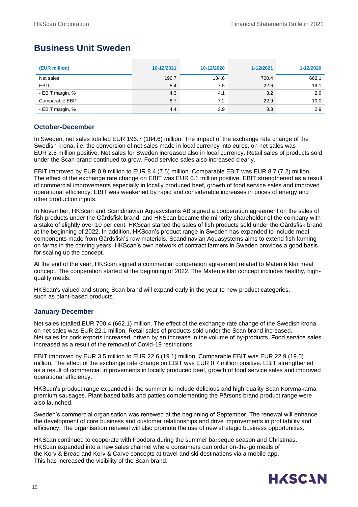### **Business Unit Sweden**

| (EUR million)    | 10-12/2021 | 10-12/2020 | 1-12/2021 | 1-12/2020 |
|------------------|------------|------------|-----------|-----------|
| Net sales        | 196.7      | 184.6      | 700.4     | 662.1     |
| <b>EBIT</b>      | 8.4        | 7.5        | 22.6      | 19.1      |
| - EBIT margin, % | 4.3        | 4.1        | 3.2       | 2.9       |
| Comparable EBIT  | 8.7        | 7.2        | 22.9      | 19.0      |
| - EBIT margin, % | 4.4        | 3.9        | 3.3       | 2.9       |

#### **October-December**

In Sweden, net sales totalled EUR 196.7 (184.6) million. The impact of the exchange rate change of the Swedish krona, i.e. the conversion of net sales made in local currency into euros, on net sales was EUR 2.5 million positive. Net sales for Sweden increased also in local currency. Retail sales of products sold under the Scan brand continued to grow. Food service sales also increased clearly.

EBIT improved by EUR 0.9 million to EUR 8.4 (7.5) million. Comparable EBIT was EUR 8.7 (7.2) million. The effect of the exchange rate change on EBIT was EUR 0.1 million positive. EBIT strengthened as a result of commercial improvements especially in locally produced beef, growth of food service sales and improved operational efficiency. EBIT was weakened by rapid and considerable increases in prices of energy and other production inputs.

In November, HKScan and Scandinavian Aquasystems AB signed a cooperation agreement on the sales of fish products under the Gårdsfisk brand, and HKScan became the minority shareholder of the company with a stake of slightly over 10 per cent. HKScan started the sales of fish products sold under the Gårdsfisk brand at the beginning of 2022. In addition, HKScan's product range in Sweden has expanded to include meal components made from Gårdsfisk's raw materials. Scandinavian Aquasystems aims to extend fish farming on farms in the coming years. HKScan's own network of contract farmers in Sweden provides a good basis for scaling up the concept.

At the end of the year, HKScan signed a commercial cooperation agreement related to Maten é klar meal concept. The cooperation started at the beginning of 2022. The Maten é klar concept includes healthy, highquality meals.

HKScan's valued and strong Scan brand will expand early in the year to new product categories, such as plant-based products.

#### **January-December**

Net sales totalled EUR 700.4 (662.1) million. The effect of the exchange rate change of the Swedish krona on net sales was EUR 22.1 million. Retail sales of products sold under the Scan brand increased. Net sales for pork exports increased, driven by an increase in the volume of by-products. Food service sales increased as a result of the removal of Covid-19 restrictions.

EBIT improved by EUR 3.5 million to EUR 22.6 (19.1) million. Comparable EBIT was EUR 22.9 (19.0) million. The effect of the exchange rate change on EBIT was EUR 0.7 million positive. EBIT strengthened as a result of commercial improvements in locally produced beef, growth of food service sales and improved operational efficiency.

HKScan's product range expanded in the summer to include delicious and high-quality Scan Korvmakarna premium sausages. Plant-based balls and patties complementing the Pärsons brand product range were also launched.

Sweden's commercial organisation was renewed at the beginning of September. The renewal will enhance the development of core business and customer relationships and drive improvements in profitability and efficiency. The organisation renewal will also promote the use of new strategic business opportunities.

HKScan continued to cooperate with Foodora during the summer barbeque season and Christmas. HKScan expanded into a new sales channel where consumers can order on-the-go meals of the Korv & Bread and Korv & Carve concepts at travel and ski destinations via a mobile app. This has increased the visibility of the Scan brand.

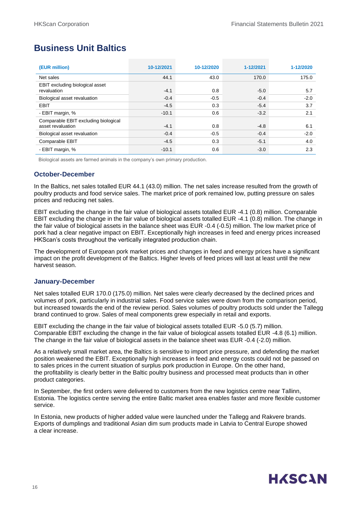### **Business Unit Baltics**

| (EUR million)                                             | 10-12/2021 | 10-12/2020 | 1-12/2021 | 1-12/2020 |
|-----------------------------------------------------------|------------|------------|-----------|-----------|
| Net sales                                                 | 44.1       | 43.0       | 170.0     | 175.0     |
| EBIT excluding biological asset<br>revaluation            | $-4.1$     | 0.8        | $-5.0$    | 5.7       |
| Biological asset revaluation                              | $-0.4$     | $-0.5$     | $-0.4$    | $-2.0$    |
| <b>EBIT</b>                                               | $-4.5$     | 0.3        | $-5.4$    | 3.7       |
| - EBIT margin, %                                          | $-10.1$    | 0.6        | $-3.2$    | 2.1       |
| Comparable EBIT excluding biological<br>asset revaluation | $-4.1$     | 0.8        | $-4.8$    | 6.1       |
| Biological asset revaluation                              | $-0.4$     | $-0.5$     | $-0.4$    | $-2.0$    |
| Comparable EBIT                                           | $-4.5$     | 0.3        | $-5.1$    | 4.0       |
| - EBIT margin, %                                          | $-10.1$    | 0.6        | $-3.0$    | 2.3       |

Biological assets are farmed animals in the company's own primary production.

#### **October-December**

In the Baltics, net sales totalled EUR 44.1 (43.0) million. The net sales increase resulted from the growth of poultry products and food service sales. The market price of pork remained low, putting pressure on sales prices and reducing net sales.

EBIT excluding the change in the fair value of biological assets totalled EUR -4.1 (0.8) million. Comparable EBIT excluding the change in the fair value of biological assets totalled EUR -4.1 (0.8) million. The change in the fair value of biological assets in the balance sheet was EUR -0.4 (-0.5) million. The low market price of pork had a clear negative impact on EBIT. Exceptionally high increases in feed and energy prices increased HKScan's costs throughout the vertically integrated production chain.

The development of European pork market prices and changes in feed and energy prices have a significant impact on the profit development of the Baltics. Higher levels of feed prices will last at least until the new harvest season.

#### **January-December**

Net sales totalled EUR 170.0 (175.0) million. Net sales were clearly decreased by the declined prices and volumes of pork, particularly in industrial sales. Food service sales were down from the comparison period, but increased towards the end of the review period. Sales volumes of poultry products sold under the Tallegg brand continued to grow. Sales of meal components grew especially in retail and exports.

EBIT excluding the change in the fair value of biological assets totalled EUR -5.0 (5.7) million. Comparable EBIT excluding the change in the fair value of biological assets totalled EUR -4.8 (6.1) million. The change in the fair value of biological assets in the balance sheet was EUR -0.4 (-2.0) million.

As a relatively small market area, the Baltics is sensitive to import price pressure, and defending the market position weakened the EBIT. Exceptionally high increases in feed and energy costs could not be passed on to sales prices in the current situation of surplus pork production in Europe. On the other hand, the profitability is clearly better in the Baltic poultry business and processed meat products than in other product categories.

In September, the first orders were delivered to customers from the new logistics centre near Tallinn, Estonia. The logistics centre serving the entire Baltic market area enables faster and more flexible customer service.

In Estonia, new products of higher added value were launched under the Tallegg and Rakvere brands. Exports of dumplings and traditional Asian dim sum products made in Latvia to Central Europe showed a clear increase.

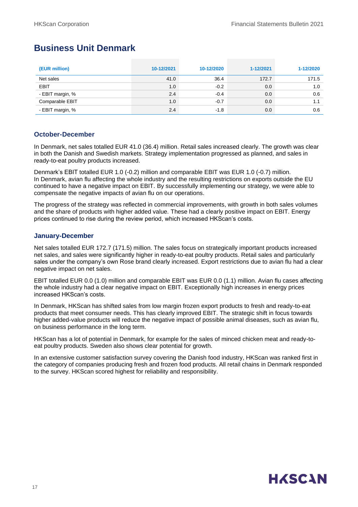### **Business Unit Denmark**

| (EUR million)    | 10-12/2021 | 10-12/2020 | 1-12/2021 | 1-12/2020 |
|------------------|------------|------------|-----------|-----------|
| Net sales        | 41.0       | 36.4       | 172.7     | 171.5     |
| <b>EBIT</b>      | 1.0        | $-0.2$     | 0.0       | 1.0       |
| - EBIT margin, % | 2.4        | $-0.4$     | 0.0       | 0.6       |
| Comparable EBIT  | 1.0        | $-0.7$     | 0.0       | 1.1       |
| - EBIT margin, % | 2.4        | $-1.8$     | 0.0       | 0.6       |

#### **October-December**

In Denmark, net sales totalled EUR 41.0 (36.4) million. Retail sales increased clearly. The growth was clear in both the Danish and Swedish markets. Strategy implementation progressed as planned, and sales in ready-to-eat poultry products increased.

Denmark's EBIT totalled EUR 1.0 (-0.2) million and comparable EBIT was EUR 1.0 (-0.7) million. In Denmark, avian flu affecting the whole industry and the resulting restrictions on exports outside the EU continued to have a negative impact on EBIT. By successfully implementing our strategy, we were able to compensate the negative impacts of avian flu on our operations.

The progress of the strategy was reflected in commercial improvements, with growth in both sales volumes and the share of products with higher added value. These had a clearly positive impact on EBIT. Energy prices continued to rise during the review period, which increased HKScan's costs.

#### **January-December**

Net sales totalled EUR 172.7 (171.5) million. The sales focus on strategically important products increased net sales, and sales were significantly higher in ready-to-eat poultry products. Retail sales and particularly sales under the company's own Rose brand clearly increased. Export restrictions due to avian flu had a clear negative impact on net sales.

EBIT totalled EUR 0.0 (1.0) million and comparable EBIT was EUR 0.0 (1.1) million. Avian flu cases affecting the whole industry had a clear negative impact on EBIT. Exceptionally high increases in energy prices increased HKScan's costs.

In Denmark, HKScan has shifted sales from low margin frozen export products to fresh and ready-to-eat products that meet consumer needs. This has clearly improved EBIT. The strategic shift in focus towards higher added-value products will reduce the negative impact of possible animal diseases, such as avian flu, on business performance in the long term.

HKScan has a lot of potential in Denmark, for example for the sales of minced chicken meat and ready-toeat poultry products. Sweden also shows clear potential for growth.

In an extensive customer satisfaction survey covering the Danish food industry, HKScan was ranked first in the category of companies producing fresh and frozen food products. All retail chains in Denmark responded to the survey. HKScan scored highest for reliability and responsibility.

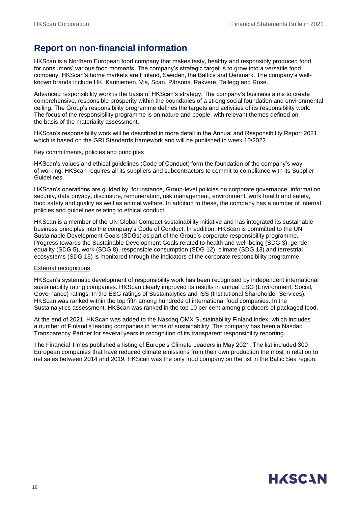### **Report on non-financial information**

HKScan is a Northern European food company that makes tasty, healthy and responsibly produced food for consumers' various food moments. The company's strategic target is to grow into a versatile food company. HKScan's home markets are Finland, Sweden, the Baltics and Denmark. The company's wellknown brands include HK, Kariniemen, Via, Scan, Pärsons, Rakvere, Tallegg and Rose.

Advanced responsibility work is the basis of HKScan's strategy. The company's business aims to create comprehensive, responsible prosperity within the boundaries of a strong social foundation and environmental ceiling. The Group's responsibility programme defines the targets and activities of its responsibility work. The focus of the responsibility programme is on nature and people, with relevant themes defined on the basis of the materiality assessment.

HKScan's responsibility work will be described in more detail in the Annual and Responsibility Report 2021, which is based on the GRI Standards framework and will be published in week 10/2022.

#### Key commitments, policies and principles

HKScan's values and ethical guidelines (Code of Conduct) form the foundation of the company's way of working. HKScan requires all its suppliers and subcontractors to commit to compliance with its Supplier Guidelines.

HKScan's operations are guided by, for instance, Group-level policies on corporate governance, information security, data privacy, disclosure, remuneration, risk management, environment, work health and safety, food safety and quality as well as animal welfare. In addition to these, the company has a number of internal policies and guidelines relating to ethical conduct.

HKScan is a member of the UN Global Compact sustainability initiative and has integrated its sustainable business principles into the company's Code of Conduct. In addition, HKScan is committed to the UN Sustainable Development Goals (SDGs) as part of the Group's corporate responsibility programme. Progress towards the Sustainable Development Goals related to health and well-being (SDG 3), gender equality (SDG 5), work (SDG 8), responsible consumption (SDG 12), climate (SDG 13) and terrestrial ecosystems (SDG 15) is monitored through the indicators of the corporate responsibility programme.

#### External recognitions

HKScan's systematic development of responsibility work has been recognised by independent international sustainability rating companies. HKScan clearly improved its results in annual ESG (Environment, Social, Governance) ratings. In the ESG ratings of Sustainalytics and ISS (Institutional Shareholder Services), HKScan was ranked within the top fifth among hundreds of international food companies. In the Sustainalytics assessment, HKScan was ranked in the top 10 per cent among producers of packaged food.

At the end of 2021, HKScan was added to the Nasdaq OMX Sustainability Finland index, which includes a number of Finland's leading companies in terms of sustainability. The company has been a Nasdaq Transparency Partner for several years in recognition of its transparent responsibility reporting.

The Financial Times published a listing of Europe's Climate Leaders in May 2021. The list included 300 European companies that have reduced climate emissions from their own production the most in relation to net sales between 2014 and 2019. HKScan was the only food company on the list in the Baltic Sea region.

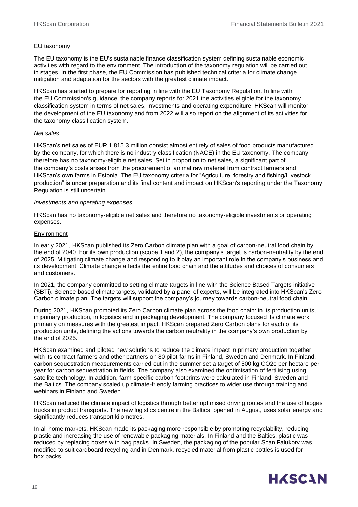#### EU taxonomy

The EU taxonomy is the EU's sustainable finance classification system defining sustainable economic activities with regard to the environment. The introduction of the taxonomy regulation will be carried out in stages. In the first phase, the EU Commission has published technical criteria for climate change mitigation and adaptation for the sectors with the greatest climate impact.

HKScan has started to prepare for reporting in line with the EU Taxonomy Regulation. In line with the EU Commission's guidance, the company reports for 2021 the activities eligible for the taxonomy classification system in terms of net sales, investments and operating expenditure. HKScan will monitor the development of the EU taxonomy and from 2022 will also report on the alignment of its activities for the taxonomy classification system.

#### *Net sales*

HKScan's net sales of EUR 1,815.3 million consist almost entirely of sales of food products manufactured by the company, for which there is no industry classification (NACE) in the EU taxonomy. The company therefore has no taxonomy-eligible net sales. Set in proportion to net sales, a significant part of the company's costs arises from the procurement of animal raw material from contract farmers and HKScan's own farms in Estonia. The EU taxonomy criteria for "Agriculture, forestry and fishing/Livestock production" is under preparation and its final content and impact on HKScan's reporting under the Taxonomy Regulation is still uncertain.

#### *Investments and operating expenses*

HKScan has no taxonomy-eligible net sales and therefore no taxonomy-eligible investments or operating expenses.

#### Environment

In early 2021, HKScan published its Zero Carbon climate plan with a goal of carbon-neutral food chain by the end of 2040. For its own production (scope 1 and 2), the company's target is carbon-neutrality by the end of 2025. Mitigating climate change and responding to it play an important role in the company's business and its development. Climate change affects the entire food chain and the attitudes and choices of consumers and customers.

In 2021, the company committed to setting climate targets in line with the Science Based Targets initiative (SBTi). Science-based climate targets, validated by a panel of experts, will be integrated into HKScan's Zero Carbon climate plan. The targets will support the company's journey towards carbon-neutral food chain.

During 2021, HKScan promoted its Zero Carbon climate plan across the food chain: in its production units, in primary production, in logistics and in packaging development. The company focused its climate work primarily on measures with the greatest impact. HKScan prepared Zero Carbon plans for each of its production units, defining the actions towards the carbon neutrality in the company's own production by the end of 2025.

HKScan examined and piloted new solutions to reduce the climate impact in primary production together with its contract farmers and other partners on 80 pilot farms in Finland, Sweden and Denmark. In Finland, carbon sequestration measurements carried out in the summer set a target of 500 kg CO2e per hectare per year for carbon sequestration in fields. The company also examined the optimisation of fertilising using satellite technology. In addition, farm-specific carbon footprints were calculated in Finland, Sweden and the Baltics. The company scaled up climate-friendly farming practices to wider use through training and webinars in Finland and Sweden.

HKScan reduced the climate impact of logistics through better optimised driving routes and the use of biogas trucks in product transports. The new logistics centre in the Baltics, opened in August, uses solar energy and significantly reduces transport kilometres.

In all home markets, HKScan made its packaging more responsible by promoting recyclability, reducing plastic and increasing the use of renewable packaging materials. In Finland and the Baltics, plastic was reduced by replacing boxes with bag packs. In Sweden, the packaging of the popular Scan Falukorv was modified to suit cardboard recycling and in Denmark, recycled material from plastic bottles is used for box packs.

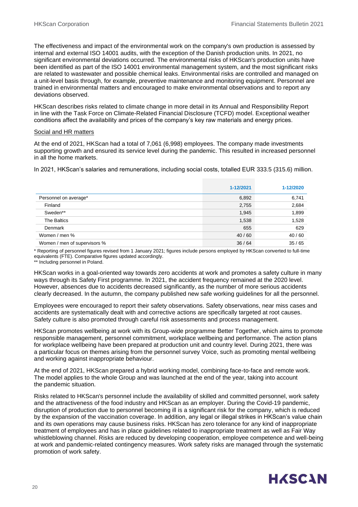The effectiveness and impact of the environmental work on the company's own production is assessed by internal and external ISO 14001 audits, with the exception of the Danish production units. In 2021, no significant environmental deviations occurred. The environmental risks of HKScan's production units have been identified as part of the ISO 14001 environmental management system, and the most significant risks are related to wastewater and possible chemical leaks. Environmental risks are controlled and managed on a unit-level basis through, for example, preventive maintenance and monitoring equipment. Personnel are trained in environmental matters and encouraged to make environmental observations and to report any deviations observed.

HKScan describes risks related to climate change in more detail in its Annual and Responsibility Report in line with the Task Force on Climate-Related Financial Disclosure (TCFD) model. Exceptional weather conditions affect the availability and prices of the company's key raw materials and energy prices.

#### Social and HR matters

At the end of 2021, HKScan had a total of 7,061 (6,998) employees. The company made investments supporting growth and ensured its service level during the pandemic. This resulted in increased personnel in all the home markets.

In 2021, HKScan's salaries and remunerations, including social costs, totalled EUR 333.5 (315.6) million.

|                              | 1-12/2021 | 1-12/2020 |
|------------------------------|-----------|-----------|
| Personnel on average*        | 6,892     | 6,741     |
| Finland                      | 2,755     | 2,684     |
| Sweden**                     | 1,945     | 1,899     |
| The Baltics                  | 1,538     | 1,528     |
| Denmark                      | 655       | 629       |
| Women / men %                | 40/60     | 40 / 60   |
| Women / men of supervisors % | 36/64     | 35/65     |

\* Reporting of personnel figures revised from 1 January 2021; figures include persons employed by HKScan converted to full-time equivalents (FTE). Comparative figures updated accordingly.

\*\* Including personnel in Poland.

HKScan works in a goal-oriented way towards zero accidents at work and promotes a safety culture in many ways through its Safety First programme. In 2021, the accident frequency remained at the 2020 level. However, absences due to accidents decreased significantly, as the number of more serious accidents clearly decreased. In the autumn, the company published new safe working guidelines for all the personnel.

Employees were encouraged to report their safety observations. Safety observations, near miss cases and accidents are systematically dealt with and corrective actions are specifically targeted at root causes. Safety culture is also promoted through careful risk assessments and process management.

HKScan promotes wellbeing at work with its Group-wide programme Better Together, which aims to promote responsible management, personnel commitment, workplace wellbeing and performance. The action plans for workplace wellbeing have been prepared at production unit and country level. During 2021, there was a particular focus on themes arising from the personnel survey Voice, such as promoting mental wellbeing and working against inappropriate behaviour.

At the end of 2021, HKScan prepared a hybrid working model, combining face-to-face and remote work. The model applies to the whole Group and was launched at the end of the year, taking into account the pandemic situation.

Risks related to HKScan's personnel include the availability of skilled and committed personnel, work safety and the attractiveness of the food industry and HKScan as an employer. During the Covid-19 pandemic, disruption of production due to personnel becoming ill is a significant risk for the company, which is reduced by the expansion of the vaccination coverage. In addition, any legal or illegal strikes in HKScan's value chain and its own operations may cause business risks. HKScan has zero tolerance for any kind of inappropriate treatment of employees and has in place guidelines related to inappropriate treatment as well as Fair Way whistleblowing channel. Risks are reduced by developing cooperation, employee competence and well-being at work and pandemic-related contingency measures. Work safety risks are managed through the systematic promotion of work safety.

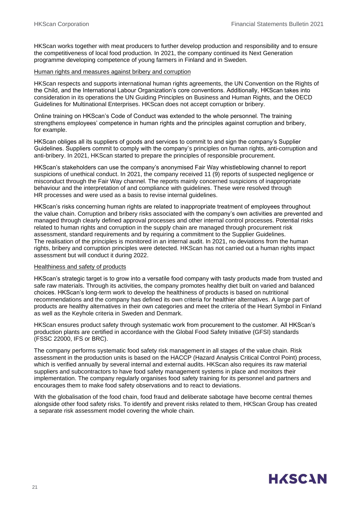HKScan works together with meat producers to further develop production and responsibility and to ensure the competitiveness of local food production. In 2021, the company continued its Next Generation programme developing competence of young farmers in Finland and in Sweden.

#### Human rights and measures against bribery and corruption

HKScan respects and supports international human rights agreements, the UN Convention on the Rights of the Child, and the International Labour Organization's core conventions. Additionally, HKScan takes into consideration in its operations the UN Guiding Principles on Business and Human Rights, and the OECD Guidelines for Multinational Enterprises. HKScan does not accept corruption or bribery.

Online training on HKScan's Code of Conduct was extended to the whole personnel. The training strengthens employees' competence in human rights and the principles against corruption and bribery, for example.

HKScan obliges all its suppliers of goods and services to commit to and sign the company's Supplier Guidelines. Suppliers commit to comply with the company's principles on human rights, anti-corruption and anti-bribery. In 2021, HKScan started to prepare the principles of responsible procurement.

HKScan's stakeholders can use the company's anonymised Fair Way whistleblowing channel to report suspicions of unethical conduct. In 2021, the company received 11 (9) reports of suspected negligence or misconduct through the Fair Way channel. The reports mainly concerned suspicions of inappropriate behaviour and the interpretation of and compliance with guidelines. These were resolved through HR processes and were used as a basis to revise internal guidelines.

HKScan's risks concerning human rights are related to inappropriate treatment of employees throughout the value chain. Corruption and bribery risks associated with the company's own activities are prevented and managed through clearly defined approval processes and other internal control processes. Potential risks related to human rights and corruption in the supply chain are managed through procurement risk assessment, standard requirements and by requiring a commitment to the Supplier Guidelines. The realisation of the principles is monitored in an internal audit. In 2021, no deviations from the human rights, bribery and corruption principles were detected. HKScan has not carried out a human rights impact assessment but will conduct it during 2022.

#### Healthiness and safety of products

HKScan's strategic target is to grow into a versatile food company with tasty products made from trusted and safe raw materials. Through its activities, the company promotes healthy diet built on varied and balanced choices. HKScan's long-term work to develop the healthiness of products is based on nutritional recommendations and the company has defined its own criteria for healthier alternatives. A large part of products are healthy alternatives in their own categories and meet the criteria of the Heart Symbol in Finland as well as the Keyhole criteria in Sweden and Denmark.

HKScan ensures product safety through systematic work from procurement to the customer. All HKScan's production plants are certified in accordance with the Global Food Safety Initiative (GFSI) standards (FSSC 22000, IFS or BRC).

The company performs systematic food safety risk management in all stages of the value chain. Risk assessment in the production units is based on the HACCP (Hazard Analysis Critical Control Point) process, which is verified annually by several internal and external audits. HKScan also requires its raw material suppliers and subcontractors to have food safety management systems in place and monitors their implementation. The company regularly organises food safety training for its personnel and partners and encourages them to make food safety observations and to react to deviations.

With the globalisation of the food chain, food fraud and deliberate sabotage have become central themes alongside other food safety risks. To identify and prevent risks related to them, HKScan Group has created a separate risk assessment model covering the whole chain.

## **HASCAN**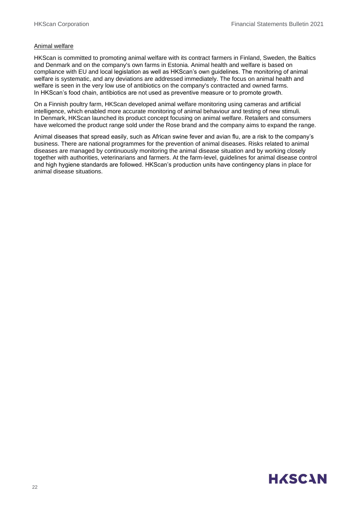#### Animal welfare

HKScan is committed to promoting animal welfare with its contract farmers in Finland, Sweden, the Baltics and Denmark and on the company's own farms in Estonia. Animal health and welfare is based on compliance with EU and local legislation as well as HKScan's own guidelines. The monitoring of animal welfare is systematic, and any deviations are addressed immediately. The focus on animal health and welfare is seen in the very low use of antibiotics on the company's contracted and owned farms. In HKScan's food chain, antibiotics are not used as preventive measure or to promote growth.

On a Finnish poultry farm, HKScan developed animal welfare monitoring using cameras and artificial intelligence, which enabled more accurate monitoring of animal behaviour and testing of new stimuli. In Denmark, HKScan launched its product concept focusing on animal welfare. Retailers and consumers have welcomed the product range sold under the Rose brand and the company aims to expand the range.

Animal diseases that spread easily, such as African swine fever and avian flu, are a risk to the company's business. There are national programmes for the prevention of animal diseases. Risks related to animal diseases are managed by continuously monitoring the animal disease situation and by working closely together with authorities, veterinarians and farmers. At the farm-level, guidelines for animal disease control and high hygiene standards are followed. HKScan's production units have contingency plans in place for animal disease situations.

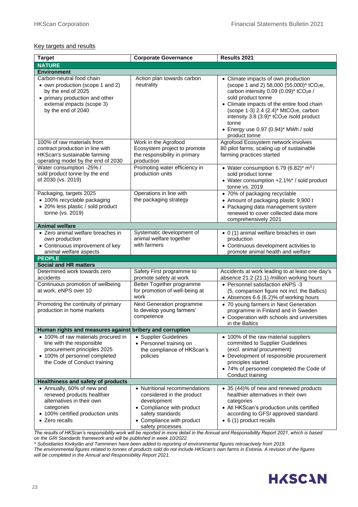#### Key targets and results

| <b>Target</b>                                                                                                                                                             | <b>Corporate Governance</b>                                                                                                                                                 | Results 2021                                                                                                                                                                                                                                                                                                                                                                                      |
|---------------------------------------------------------------------------------------------------------------------------------------------------------------------------|-----------------------------------------------------------------------------------------------------------------------------------------------------------------------------|---------------------------------------------------------------------------------------------------------------------------------------------------------------------------------------------------------------------------------------------------------------------------------------------------------------------------------------------------------------------------------------------------|
| <b>NATURE</b>                                                                                                                                                             |                                                                                                                                                                             |                                                                                                                                                                                                                                                                                                                                                                                                   |
| <b>Environment</b>                                                                                                                                                        |                                                                                                                                                                             |                                                                                                                                                                                                                                                                                                                                                                                                   |
| Carbon-neutral food chain<br>• own production (scope 1 and 2)<br>by the end of 2025<br>• primary production and other<br>external impacts (scope 3)<br>by the end of 2040 | Action plan towards carbon<br>neutrality                                                                                                                                    | • Climate impacts of own production<br>(scope 1 and 2) 58,000 (55,000)* tCO <sub>2</sub> e,<br>carbon intensity 0.09 (0.09)* tCO2e /<br>sold product tonne<br>• Climate impacts of the entire food chain<br>(scope 1-3) 2.4 (2.4)* MtCO <sub>2</sub> e, carbon<br>intensity 3.8 (3.9)* tCO <sub>2</sub> e /sold product<br>tonne<br>$\bullet$ Energy use 0.97 (0.94)* MWh / sold<br>product tonne |
| 100% of raw materials from<br>contract production in line with<br>HKScan's sustainable farming<br>operating model by the end of 2030                                      | Work in the Agrofood<br>Ecosystem project to promote<br>the responsibility in primary<br>production                                                                         | Agrofood Ecosystem network involves<br>80 pilot farms; scaling up of sustainable<br>farming practices started                                                                                                                                                                                                                                                                                     |
| Water consumption -25% /<br>sold product tonne by the end<br>of 2030 (vs. 2019)                                                                                           | Promoting water efficiency in<br>production units                                                                                                                           | • Water consumption 6.79 (6.82)* $m^3/$<br>sold product tonne<br>• Water consumption +2.1%* / sold product<br>tonne vs. 2019                                                                                                                                                                                                                                                                      |
| Packaging, targets 2025<br>• 100% recyclable packaging<br>• 20% less plastic / sold product<br>tonne (vs. 2019)                                                           | Operations in line with<br>the packaging strategy                                                                                                                           | • 70% of packaging recyclable<br>• Amount of packaging plastic 9,900 t<br>• Packaging data management system<br>renewed to cover collected data more<br>comprehensively 2021                                                                                                                                                                                                                      |
| <b>Animal welfare</b>                                                                                                                                                     |                                                                                                                                                                             |                                                                                                                                                                                                                                                                                                                                                                                                   |
| • Zero animal welfare breaches in<br>own production<br>• Continuous improvement of key<br>animal welfare aspects                                                          | Systematic development of<br>animal welfare together<br>with farmers                                                                                                        | • 0 (1) animal welfare breaches in own<br>production<br>• Continuous development activities to<br>promote animal health and welfare                                                                                                                                                                                                                                                               |
| <b>PEOPLE</b>                                                                                                                                                             |                                                                                                                                                                             |                                                                                                                                                                                                                                                                                                                                                                                                   |
| <b>Social and HR matters</b>                                                                                                                                              |                                                                                                                                                                             |                                                                                                                                                                                                                                                                                                                                                                                                   |
| Determined work towards zero<br>accidents<br>Continuous promotion of wellbeing<br>at work, eNPS over 10                                                                   | Safety First programme to<br>promote safety at work<br>Better Together programme<br>for promotion of well-being at<br>work                                                  | Accidents at work leading to at least one day's<br>absence 21.2 (21.1) /million working hours<br>• Personnel satisfaction eNPS -3<br>(5, comparison figure not incl. the Baltics)<br>• Absences 6.6 (6.2)% of working hours                                                                                                                                                                       |
| Promoting the continuity of primary<br>production in home markets                                                                                                         | Next Generation programme<br>to develop young farmers'<br>competence                                                                                                        | • 70 young farmers in Next Generation<br>programme in Finland and in Sweden<br>• Cooperation with schools and universities<br>in the Baltics                                                                                                                                                                                                                                                      |
| Human rights and measures against bribery and corruption                                                                                                                  |                                                                                                                                                                             |                                                                                                                                                                                                                                                                                                                                                                                                   |
| • 100% of raw materials procured in<br>line with the responsible<br>procurement principles 2025<br>• 100% of personnel completed<br>the Code of Conduct training          | • Supplier Guidelines<br>• Personnel training on<br>the compliance of HKScan's<br>policies                                                                                  | • 100% of the raw material suppliers<br>committed to Supplier Guidelines<br>(excl. animal procurement)<br>• Development of responsible procurement<br>principles started<br>• 74% of personnel completed the Code of<br>Conduct training                                                                                                                                                          |
| <b>Healthiness and safety of products</b>                                                                                                                                 |                                                                                                                                                                             |                                                                                                                                                                                                                                                                                                                                                                                                   |
| • Annually, 60% of new and<br>renewed products healthier<br>alternatives in their own<br>categories<br>• 100% certified production units<br>• Zero recalls                | • Nutritional recommendations<br>considered in the product<br>development<br>• Compliance with product<br>safety standards<br>• Compliance with product<br>safety processes | • 35 (44)% of new and renewed products<br>healthier alternatives in their own<br>categories<br>• All HKScan's production units certified<br>according to GFSI approved standard<br>• 6 (1) product recalls                                                                                                                                                                                        |

*The results of HKScan's responsibility work will be reported in more detail in the Annual and Responsibility Report 2021, which is based on the GRI Standards framework and will be published in week 10/2022.* 

*\* Subsidiaries Kivikylän and Tamminen have been added to reporting of environmental figures retroactively from 2019.*

*The environmental figures related to tonnes of products sold do not include HKScan's own farms in Estonia. A revision of the figures will be completed in the Annual and Responsibility Report 2021.*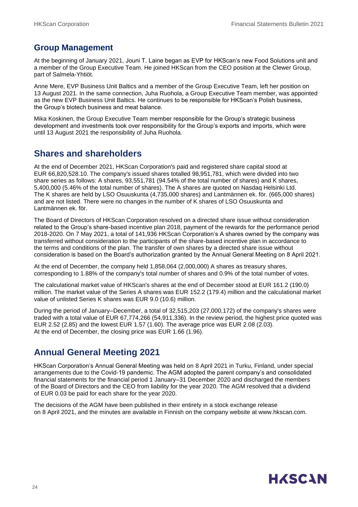### **Group Management**

At the beginning of January 2021, Jouni T. Laine began as EVP for HKScan's new Food Solutions unit and a member of the Group Executive Team. He joined HKScan from the CEO position at the Clewer Group, part of Salmela-Yhtiöt.

Anne Mere, EVP Business Unit Baltics and a member of the Group Executive Team, left her position on 13 August 2021. In the same connection, Juha Ruohola, a Group Executive Team member, was appointed as the new EVP Business Unit Baltics. He continues to be responsible for HKScan's Polish business, the Group's biotech business and meat balance.

Mika Koskinen, the Group Executive Team member responsible for the Group's strategic business development and investments took over responsibility for the Group's exports and imports, which were until 13 August 2021 the responsibility of Juha Ruohola.

### **Shares and shareholders**

At the end of December 2021, HKScan Corporation's paid and registered share capital stood at EUR 66,820,528.10. The company's issued shares totalled 98,951,781, which were divided into two share series as follows: A shares, 93,551,781 (94.54% of the total number of shares) and K shares, 5,400,000 (5.46% of the total number of shares). The A shares are quoted on Nasdaq Helsinki Ltd. The K shares are held by LSO Osuuskunta (4,735,000 shares) and Lantmännen ek. för. (665,000 shares) and are not listed. There were no changes in the number of K shares of LSO Osuuskunta and Lantmännen ek. för.

The Board of Directors of HKScan Corporation resolved on a directed share issue without consideration related to the Group's share-based incentive plan 2018, payment of the rewards for the performance period 2018-2020. On 7 May 2021, a total of 141,936 HKScan Corporation's A shares owned by the company was transferred without consideration to the participants of the share-based incentive plan in accordance to the terms and conditions of the plan. The transfer of own shares by a directed share issue without consideration is based on the Board's authorization granted by the Annual General Meeting on 8 April 2021.

At the end of December, the company held 1,858,064 (2,000,000) A shares as treasury shares, corresponding to 1.88% of the company's total number of shares and 0.9% of the total number of votes.

The calculational market value of HKScan's shares at the end of December stood at EUR 161.2 (190.0) million. The market value of the Series A shares was EUR 152.2 (179.4) million and the calculational market value of unlisted Series K shares was EUR 9.0 (10.6) million.

During the period of January–December, a total of 32,515,203 (27,000,172) of the company's shares were traded with a total value of EUR 67,774,266 (54,911,336). In the review period, the highest price quoted was EUR 2.52 (2.85) and the lowest EUR 1.57 (1.60). The average price was EUR 2.08 (2.03). At the end of December, the closing price was EUR 1.66 (1.96).

### **Annual General Meeting 2021**

HKScan Corporation's Annual General Meeting was held on 8 April 2021 in Turku, Finland, under special arrangements due to the Covid-19 pandemic. The AGM adopted the parent company's and consolidated financial statements for the financial period 1 January–31 December 2020 and discharged the members of the Board of Directors and the CEO from liability for the year 2020. The AGM resolved that a dividend of EUR 0.03 be paid for each share for the year 2020.

The decisions of the AGM have been published in their entirety in a stock exchange release on 8 April 2021, and the minutes are available in Finnish on the company website at www.hkscan.com.

## **HASCAN**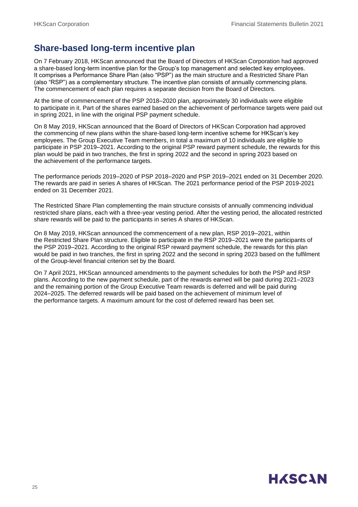### **Share-based long-term incentive plan**

On 7 February 2018, HKScan announced that the Board of Directors of HKScan Corporation had approved a share-based long-term incentive plan for the Group's top management and selected key employees. It comprises a Performance Share Plan (also "PSP") as the main structure and a Restricted Share Plan (also "RSP") as a complementary structure. The incentive plan consists of annually commencing plans. The commencement of each plan requires a separate decision from the Board of Directors.

At the time of commencement of the PSP 2018–2020 plan, approximately 30 individuals were eligible to participate in it. Part of the shares earned based on the achievement of performance targets were paid out in spring 2021, in line with the original PSP payment schedule.

On 8 May 2019, HKScan announced that the Board of Directors of HKScan Corporation had approved the commencing of new plans within the share-based long-term incentive scheme for HKScan's key employees. The Group Executive Team members, in total a maximum of 10 individuals are eligible to participate in PSP 2019–2021. According to the original PSP reward payment schedule, the rewards for this plan would be paid in two tranches, the first in spring 2022 and the second in spring 2023 based on the achievement of the performance targets.

The performance periods 2019–2020 of PSP 2018–2020 and PSP 2019–2021 ended on 31 December 2020. The rewards are paid in series A shares of HKScan. The 2021 performance period of the PSP 2019-2021 ended on 31 December 2021.

The Restricted Share Plan complementing the main structure consists of annually commencing individual restricted share plans, each with a three-year vesting period. After the vesting period, the allocated restricted share rewards will be paid to the participants in series A shares of HKScan.

On 8 May 2019, HKScan announced the commencement of a new plan, RSP 2019–2021, within the Restricted Share Plan structure. Eligible to participate in the RSP 2019–2021 were the participants of the PSP 2019–2021. According to the original RSP reward payment schedule, the rewards for this plan would be paid in two tranches, the first in spring 2022 and the second in spring 2023 based on the fulfilment of the Group-level financial criterion set by the Board.

On 7 April 2021, HKScan announced amendments to the payment schedules for both the PSP and RSP plans. According to the new payment schedule, part of the rewards earned will be paid during 2021–2023 and the remaining portion of the Group Executive Team rewards is deferred and will be paid during 2024–2025. The deferred rewards will be paid based on the achievement of minimum level of the performance targets. A maximum amount for the cost of deferred reward has been set.

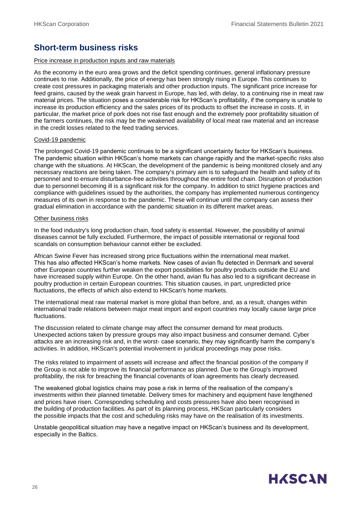### **Short-term business risks**

#### Price increase in production inputs and raw materials

As the economy in the euro area grows and the deficit spending continues, general inflationary pressure continues to rise. Additionally, the price of energy has been strongly rising in Europe. This continues to create cost pressures in packaging materials and other production inputs. The significant price increase for feed grains, caused by the weak grain harvest in Europe, has led, with delay, to a continuing rise in meat raw material prices. The situation poses a considerable risk for HKScan's profitability, if the company is unable to increase its production efficiency and the sales prices of its products to offset the increase in costs. If, in particular, the market price of pork does not rise fast enough and the extremely poor profitability situation of the farmers continues, the risk may be the weakened availability of local meat raw material and an increase in the credit losses related to the feed trading services.

#### Covid-19 pandemic

The prolonged Covid-19 pandemic continues to be a significant uncertainty factor for HKScan's business. The pandemic situation within HKScan's home markets can change rapidly and the market-specific risks also change with the situations. At HKScan, the development of the pandemic is being monitored closely and any necessary reactions are being taken. The company's primary aim is to safeguard the health and safety of its personnel and to ensure disturbance-free activities throughout the entire food chain. Disruption of production due to personnel becoming ill is a significant risk for the company. In addition to strict hygiene practices and compliance with guidelines issued by the authorities, the company has implemented numerous contingency measures of its own in response to the pandemic. These will continue until the company can assess their gradual elimination in accordance with the pandemic situation in its different market areas.

#### Other business risks

In the food industry's long production chain, food safety is essential. However, the possibility of animal diseases cannot be fully excluded. Furthermore, the impact of possible international or regional food scandals on consumption behaviour cannot either be excluded.

African Swine Fever has increased strong price fluctuations within the international meat market. This has also affected HKScan's home markets. New cases of avian flu detected in Denmark and several other European countries further weaken the export possibilities for poultry products outside the EU and have increased supply within Europe. On the other hand, avian flu has also led to a significant decrease in poultry production in certain European countries. This situation causes, in part, unpredicted price fluctuations, the effects of which also extend to HKScan's home markets.

The international meat raw material market is more global than before, and, as a result, changes within international trade relations between major meat import and export countries may locally cause large price fluctuations.

The discussion related to climate change may affect the consumer demand for meat products. Unexpected actions taken by pressure groups may also impact business and consumer demand. Cyber attacks are an increasing risk and, in the worst- case scenario, they may significantly harm the company's activities. In addition, HKScan's potential involvement in juridical proceedings may pose risks.

The risks related to impairment of assets will increase and affect the financial position of the company if the Group is not able to improve its financial performance as planned. Due to the Group's improved profitability, the risk for breaching the financial covenants of loan agreements has clearly decreased.

The weakened global logistics chains may pose a risk in terms of the realisation of the company's investments within their planned timetable. Delivery times for machinery and equipment have lengthened and prices have risen. Corresponding scheduling and costs pressures have also been recognised in the building of production facilities. As part of its planning process, HKScan particularly considers the possible impacts that the cost and scheduling risks may have on the realisation of its investments.

Unstable geopolitical situation may have a negative impact on HKScan's business and its development, especially in the Baltics.

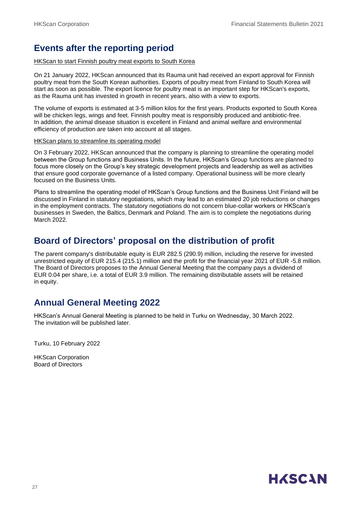### **Events after the reporting period**

#### HKScan to start Finnish poultry meat exports to South Korea

On 21 January 2022, HKScan announced that its Rauma unit had received an export approval for Finnish poultry meat from the South Korean authorities. Exports of poultry meat from Finland to South Korea will start as soon as possible. The export licence for poultry meat is an important step for HKScan's exports, as the Rauma unit has invested in growth in recent years, also with a view to exports.

The volume of exports is estimated at 3-5 million kilos for the first years. Products exported to South Korea will be chicken legs, wings and feet. Finnish poultry meat is responsibly produced and antibiotic-free. In addition, the animal disease situation is excellent in Finland and animal welfare and environmental efficiency of production are taken into account at all stages.

#### HKScan plans to streamline its operating model

On 3 February 2022, HKScan announced that the company is planning to streamline the operating model between the Group functions and Business Units. In the future, HKScan's Group functions are planned to focus more closely on the Group's key strategic development projects and leadership as well as activities that ensure good corporate governance of a listed company. Operational business will be more clearly focused on the Business Units.

Plans to streamline the operating model of HKScan's Group functions and the Business Unit Finland will be discussed in Finland in statutory negotiations, which may lead to an estimated 20 job reductions or changes in the employment contracts. The statutory negotiations do not concern blue-collar workers or HKScan's businesses in Sweden, the Baltics, Denmark and Poland. The aim is to complete the negotiations during March 2022.

### **Board of Directors' proposal on the distribution of profit**

The parent company's distributable equity is EUR 282.5 (290.9) million, including the reserve for invested unrestricted equity of EUR 215.4 (215.1) million and the profit for the financial year 2021 of EUR -5.8 million. The Board of Directors proposes to the Annual General Meeting that the company pays a dividend of EUR 0.04 per share, i.e. a total of EUR 3.9 million. The remaining distributable assets will be retained in equity.

### **Annual General Meeting 2022**

HKScan's Annual General Meeting is planned to be held in Turku on Wednesday, 30 March 2022. The invitation will be published later.

Turku, 10 February 2022

HKScan Corporation Board of Directors

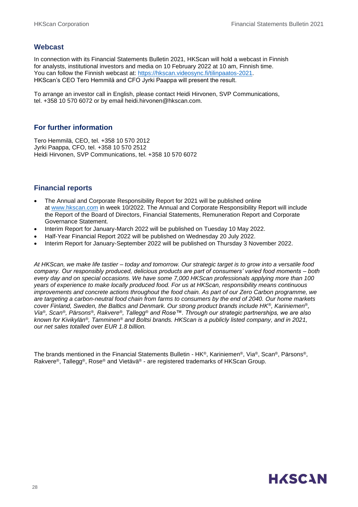#### **Webcast**

In connection with its Financial Statements Bulletin 2021, HKScan will hold a webcast in Finnish for analysts, institutional investors and media on 10 February 2022 at 10 am, Finnish time. You can follow the Finnish webcast at: [https://hkscan.videosync.fi/tilinpaatos-2021.](https://hkscan.videosync.fi/tilinpaatos-2021) HKScan's CEO Tero Hemmilä and CFO Jyrki Paappa will present the result.

To arrange an investor call in English, please contact Heidi Hirvonen, SVP Communications, tel. +358 10 570 6072 or by email heidi.hirvonen@hkscan.com.

#### **For further information**

Tero Hemmilä, CEO, tel. +358 10 570 2012 Jyrki Paappa, CFO, tel. +358 10 570 2512 Heidi Hirvonen, SVP Communications, tel. +358 10 570 6072

#### **Financial reports**

- The Annual and Corporate Responsibility Report for 2021 will be published online at [www.hkscan.com](http://www.hkscan.com/) in week 10/2022. The Annual and Corporate Responsibility Report will include the Report of the Board of Directors, Financial Statements, Remuneration Report and Corporate Governance Statement.
- Interim Report for January-March 2022 will be published on Tuesday 10 May 2022.
- Half-Year Financial Report 2022 will be published on Wednesday 20 July 2022.
- Interim Report for January-September 2022 will be published on Thursday 3 November 2022.

*At HKScan, we make life tastier – today and tomorrow. Our strategic target is to grow into a versatile food company. Our responsibly produced, delicious products are part of consumers' varied food moments – both every day and on special occasions. We have some 7,000 HKScan professionals applying more than 100 years of experience to make locally produced food. For us at HKScan, responsibility means continuous improvements and concrete actions throughout the food chain. As part of our Zero Carbon programme, we are targeting a carbon-neutral food chain from farms to consumers by the end of 2040. Our home markets cover Finland, Sweden, the Baltics and Denmark. Our strong product brands include HK®, Kariniemen®, Via®, Scan®, Pärsons®, Rakvere®, Tallegg® and Rose™. Through our strategic partnerships, we are also known for Kivikylän®, Tamminen® and Boltsi brands. HKScan is a publicly listed company, and in 2021, our net sales totalled over EUR 1.8 billion.*

The brands mentioned in the Financial Statements Bulletin - HK®, Kariniemen®, Via®, Scan®, Pärsons®, Rakvere®, Tallegg®, Rose® and Vietävä® - are registered trademarks of HKScan Group.

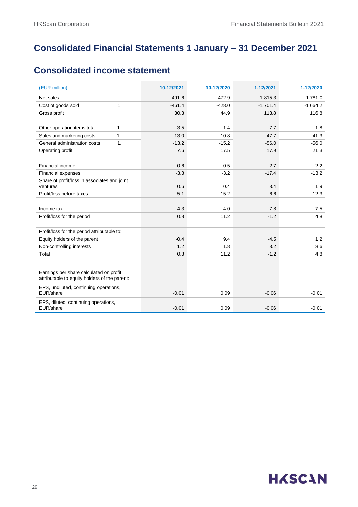### **Consolidated Financial Statements 1 January – 31 December 2021**

### **Consolidated income statement**

| (EUR million)                                                                            | 10-12/2021 | 10-12/2020 | 1-12/2021 | 1-12/2020 |
|------------------------------------------------------------------------------------------|------------|------------|-----------|-----------|
| Net sales                                                                                | 491.6      | 472.9      | 1815.3    | 1781.0    |
| Cost of goods sold<br>1.                                                                 | $-461.4$   | $-428.0$   | $-1701.4$ | $-1664.2$ |
| Gross profit                                                                             | 30.3       | 44.9       | 113.8     | 116.8     |
|                                                                                          |            |            |           |           |
| 1.<br>Other operating items total                                                        | 3.5        | $-1.4$     | 7.7       | 1.8       |
| Sales and marketing costs<br>1.                                                          | $-13.0$    | $-10.8$    | $-47.7$   | $-41.3$   |
| General administration costs<br>1.                                                       | $-13.2$    | $-15.2$    | $-56.0$   | $-56.0$   |
| Operating profit                                                                         | 7.6        | 17.5       | 17.9      | 21.3      |
| Financial income                                                                         | 0.6        | 0.5        | 2.7       | 2.2       |
| Financial expenses                                                                       | $-3.8$     | $-3.2$     | $-17.4$   | $-13.2$   |
| Share of profit/loss in associates and joint                                             |            |            |           |           |
| ventures                                                                                 | 0.6        | 0.4        | 3.4       | 1.9       |
| Profit/loss before taxes                                                                 | 5.1        | 15.2       | 6.6       | 12.3      |
|                                                                                          |            |            |           |           |
| Income tax                                                                               | $-4.3$     | $-4.0$     | $-7.8$    | $-7.5$    |
| Profit/loss for the period                                                               | 0.8        | 11.2       | $-1.2$    | 4.8       |
| Profit/loss for the period attributable to:                                              |            |            |           |           |
| Equity holders of the parent                                                             | $-0.4$     | 9.4        | $-4.5$    | 1.2       |
| Non-controlling interests                                                                | 1.2        | 1.8        | 3.2       | 3.6       |
| Total                                                                                    | 0.8        | 11.2       | $-1.2$    | 4.8       |
|                                                                                          |            |            |           |           |
| Earnings per share calculated on profit<br>attributable to equity holders of the parent: |            |            |           |           |
| EPS, undiluted, continuing operations,<br>EUR/share                                      | $-0.01$    | 0.09       | $-0.06$   | $-0.01$   |
| EPS, diluted, continuing operations,<br>EUR/share                                        | $-0.01$    | 0.09       | $-0.06$   | $-0.01$   |

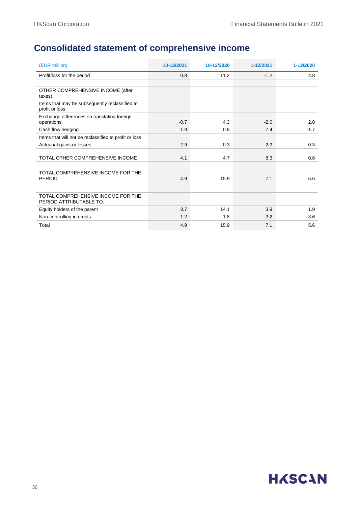### **Consolidated statement of comprehensive income**

| (EUR million)                                                    | 10-12/2021 | 10-12/2020 | 1-12/2021 | 1-12/2020 |
|------------------------------------------------------------------|------------|------------|-----------|-----------|
| Profit/loss for the period                                       | 0.8        | 11.2       | $-1.2$    | 4.8       |
|                                                                  |            |            |           |           |
| OTHER COMPREHENSIVE INCOME (after<br>taxes):                     |            |            |           |           |
| Items that may be subsequently reclassified to<br>profit or loss |            |            |           |           |
| Exchange differences on translating foreign<br>operations        | $-0.7$     | 4.3        | $-2.0$    | 2.8       |
| Cash flow hedging                                                | 1.9        | 0.8        | 7.4       | $-1.7$    |
| Items that will not be reclassified to profit or loss            |            |            |           |           |
| Actuarial gains or losses                                        | 2.9        | $-0.3$     | 2.9       | $-0.3$    |
| TOTAL OTHER COMPREHENSIVE INCOME                                 | 4.1        | 4.7        | 8.3       | 0.8       |
|                                                                  |            |            |           |           |
| TOTAL COMPREHENSIVE INCOME FOR THE<br><b>PERIOD</b>              | 4.9        | 15.9       | 7.1       | 5.6       |
|                                                                  |            |            |           |           |
| TOTAL COMPREHENSIVE INCOME FOR THE<br>PERIOD ATTRIBUTABLE TO:    |            |            |           |           |
| Equity holders of the parent                                     | 3.7        | 14.1       | 3.9       | 1.9       |
| Non-controlling interests                                        | 1.2        | 1.8        | 3.2       | 3.6       |
| Total                                                            | 4.9        | 15.9       | 7.1       | 5.6       |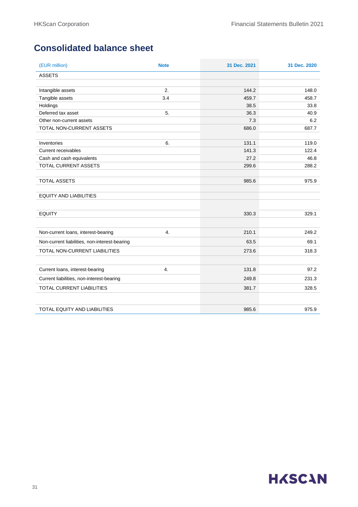### **Consolidated balance sheet**

| (EUR million)                                 | <b>Note</b> | 31 Dec. 2021 | 31 Dec. 2020 |
|-----------------------------------------------|-------------|--------------|--------------|
| <b>ASSETS</b>                                 |             |              |              |
|                                               |             |              |              |
| Intangible assets                             | 2.          | 144.2        | 148.0        |
| Tangible assets                               | 3.4         | 459.7        | 458.7        |
| Holdings<br>Deferred tax asset                | 5.          | 38.5<br>36.3 | 33.8<br>40.9 |
| Other non-current assets                      |             | 7.3          | 6.2          |
| TOTAL NON-CURRENT ASSETS                      |             | 686.0        | 687.7        |
|                                               |             |              |              |
| Inventories                                   | 6.          | 131.1        | 119.0        |
| <b>Current receivables</b>                    |             | 141.3        | 122.4        |
| Cash and cash equivalents                     |             | 27.2         | 46.8         |
| TOTAL CURRENT ASSETS                          |             | 299.6        | 288.2        |
| <b>TOTAL ASSETS</b>                           |             | 985.6        | 975.9        |
| <b>EQUITY AND LIABILITIES</b>                 |             |              |              |
| <b>EQUITY</b>                                 |             | 330.3        | 329.1        |
| Non-current loans, interest-bearing           | 4.          | 210.1        | 249.2        |
| Non-current liabilities, non-interest-bearing |             | 63.5         | 69.1         |
| TOTAL NON-CURRENT LIABILITIES                 |             | 273.6        | 318.3        |
|                                               |             |              |              |
| Current loans, interest-bearing               | 4.          | 131.8        | 97.2         |
| Current liabilities, non-interest-bearing     |             | 249.8        | 231.3        |
| TOTAL CURRENT LIABILITIES                     |             | 381.7        | 328.5        |
|                                               |             |              |              |
| TOTAL EQUITY AND LIABILITIES                  |             | 985.6        | 975.9        |

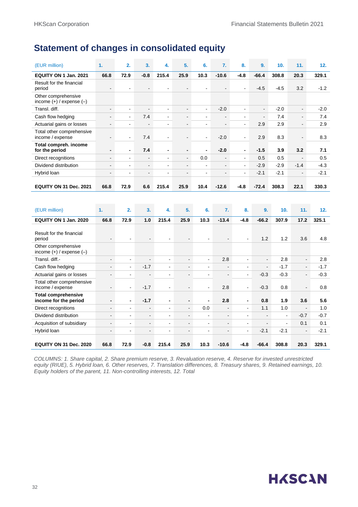### **Statement of changes in consolidated equity**

| (EUR million)                                       | 1.                       | 2.                           | 3.                       | 4.                       | 5.                       | 6.             | 7.                       | 8.                       | 9.                       | 10.    | 11.            | 12.    |
|-----------------------------------------------------|--------------------------|------------------------------|--------------------------|--------------------------|--------------------------|----------------|--------------------------|--------------------------|--------------------------|--------|----------------|--------|
| EQUITY ON 1 Jan. 2021                               | 66.8                     | 72.9                         | $-0.8$                   | 215.4                    | 25.9                     | 10.3           | $-10.6$                  | $-4.8$                   | $-66.4$                  | 308.8  | 20.3           | 329.1  |
| Result for the financial<br>period                  |                          | $\overline{\phantom{0}}$     |                          |                          |                          |                |                          | $\blacksquare$           | $-4.5$                   | $-4.5$ | 3.2            | $-1.2$ |
| Other comprehensive<br>income $(+)$ / expense $(-)$ |                          |                              |                          |                          |                          |                |                          |                          |                          |        |                |        |
| Transl. diff.                                       | $\blacksquare$           | $\overline{\phantom{a}}$     | $\overline{\phantom{a}}$ | $\blacksquare$           | ۰.                       | ٠              | $-2.0$                   | $\overline{\phantom{a}}$ | $\blacksquare$           | $-2.0$ | $\blacksquare$ | $-2.0$ |
| Cash flow hedging                                   | $\blacksquare$           | $\blacksquare$               | 7.4                      | $\blacksquare$           | $\blacksquare$           | ۰              | $\overline{\phantom{a}}$ | $\blacksquare$           | $\overline{\phantom{a}}$ | 7.4    | $\blacksquare$ | 7.4    |
| Actuarial gains or losses                           | $\overline{\phantom{a}}$ | ٠                            | $\blacksquare$           | $\overline{\phantom{a}}$ | $\overline{\phantom{a}}$ | ٠              | $\overline{\phantom{a}}$ | $\overline{a}$           | 2.9                      | 2.9    | $\blacksquare$ | 2.9    |
| Total other comprehensive<br>income / expense       | $\overline{\phantom{a}}$ | $\blacksquare$               | 7.4                      | $\blacksquare$           | ٠                        | $\blacksquare$ | $-2.0$                   | $\blacksquare$           | 2.9                      | 8.3    | $\blacksquare$ | 8.3    |
| Total compreh. income<br>for the period             | $\blacksquare$           | $\blacksquare$               | 7.4                      | $\blacksquare$           | -                        | $\blacksquare$ | $-2.0$                   | $\blacksquare$           | $-1.5$                   | 3.9    | 3.2            | 7.1    |
| Direct recognitions                                 | $\blacksquare$           | $\blacksquare$               | $\overline{\phantom{a}}$ | $\blacksquare$           | $\blacksquare$           | 0.0            | $\blacksquare$           | $\blacksquare$           | 0.5                      | 0.5    | $\sim$         | 0.5    |
| Dividend distribution                               | $\blacksquare$           | $\overline{\phantom{0}}$     | $\blacksquare$           | $\blacksquare$           | $\blacksquare$           | $\blacksquare$ | $\blacksquare$           | $\blacksquare$           | $-2.9$                   | $-2.9$ | $-1.4$         | $-4.3$ |
| Hybrid loan                                         | $\blacksquare$           | $\qquad \qquad \blacksquare$ | $\overline{\phantom{a}}$ | ٠                        | ۰                        | ۰              | $\blacksquare$           | $\sim$                   | $-2.1$                   | $-2.1$ | $\sim$         | $-2.1$ |
| <b>EQUITY ON 31 Dec. 2021</b>                       | 66.8                     | 72.9                         | 6.6                      | 215.4                    | 25.9                     | 10.4           | $-12.6$                  | $-4.8$                   | $-72.4$                  | 308.3  | 22.1           | 330.3  |
|                                                     |                          |                              |                          |                          |                          |                |                          |                          |                          |        |                |        |
| (EUR million)                                       | 1.                       | 2.                           | 3.                       | 4.                       | 5.                       | 6.             | 7.                       | 8.                       | 9.                       | 10.    | 11.            | 12.    |
| EQUITY ON 1 Jan. 2020                               | 66.8                     | 72.9                         | 1.0                      | 215.4                    | 25.9                     | 10.3           | $-13.4$                  | $-4.8$                   | $-66.2$                  | 307.9  | 17.2           | 325.1  |
| Result for the financial<br>period                  |                          |                              |                          |                          |                          |                |                          |                          | 1.2                      | 1.2    | 3.6            | 4.8    |
| Other comprehensive<br>$\sqrt{1}$                   |                          |                              |                          |                          |                          |                |                          |                          |                          |        |                |        |

| period                                              | $\overline{\phantom{0}}$ | <b>.</b>                 | -                        | $\blacksquare$           |                          |                |                          | ۰                        | 1.2                      | 1.2            | 3.6                      | 4.8    |
|-----------------------------------------------------|--------------------------|--------------------------|--------------------------|--------------------------|--------------------------|----------------|--------------------------|--------------------------|--------------------------|----------------|--------------------------|--------|
| Other comprehensive<br>income $(+)$ / expense $(-)$ |                          |                          |                          |                          |                          |                |                          |                          |                          |                |                          |        |
| Transl. diff.-                                      | $\overline{\phantom{0}}$ | $\overline{\phantom{a}}$ | $\blacksquare$           | $\blacksquare$           | $\blacksquare$           | $\blacksquare$ | 2.8                      |                          | $\overline{\phantom{a}}$ | 2.8            | $\sim$                   | 2.8    |
| Cash flow hedging                                   | $\blacksquare$           | $\blacksquare$           | $-1.7$                   | $\blacksquare$           | $\blacksquare$           | $\blacksquare$ |                          | ۰                        | ۰.                       | $-1.7$         | $\sim$                   | $-1.7$ |
| Actuarial gains or losses                           |                          |                          |                          | ۰                        | $\blacksquare$           | -              |                          | ۰                        | $-0.3$                   | $-0.3$         | $\sim$                   | $-0.3$ |
| Total other comprehensive<br>income / expense       | -                        | $\blacksquare$           | $-1.7$                   | $\blacksquare$           | $\sim$                   | $\blacksquare$ | 2.8                      | ٠                        | $-0.3$                   | 0.8            | $\sim$                   | 0.8    |
| <b>Total comprehensive</b><br>income for the period | $\overline{\phantom{0}}$ | $\blacksquare$           | $-1.7$                   | $\blacksquare$           | $\overline{\phantom{0}}$ | $\blacksquare$ | 2.8                      | ٠                        | 0.8                      | 1.9            | 3.6                      | 5.6    |
| Direct recognitions                                 | ۰                        | $\overline{\phantom{a}}$ | $\blacksquare$           | $\blacksquare$           | $\sim$                   | 0.0            | $\overline{\phantom{a}}$ | $\overline{\phantom{0}}$ | 1.1                      | 1.0            | $\overline{\phantom{a}}$ | 1.0    |
| Dividend distribution                               | ۰                        | $\blacksquare$           | $\overline{\phantom{a}}$ | $\blacksquare$           | $\sim$                   | $\blacksquare$ | $\blacksquare$           | ۰                        | Ξ.                       | $\blacksquare$ | $-0.7$                   | $-0.7$ |
| Acquisition of subsidiary                           | ۰                        | $\overline{a}$           | $\overline{\phantom{a}}$ | $\overline{\phantom{0}}$ | ۰.                       | $\blacksquare$ | $\overline{\phantom{0}}$ | $\overline{\phantom{0}}$ |                          | $\blacksquare$ | 0.1                      | 0.1    |
| Hybrid loan                                         | $\overline{\phantom{0}}$ | $\overline{\phantom{a}}$ | $\overline{\phantom{a}}$ | $\blacksquare$           | $\blacksquare$           | $\blacksquare$ |                          | $\overline{\phantom{0}}$ | $-2.1$                   | $-2.1$         | $\sim$                   | $-2.1$ |
| <b>EQUITY ON 31 Dec. 2020</b>                       | 66.8                     | 72.9                     | $-0.8$                   | 215.4                    | 25.9                     | 10.3           | $-10.6$                  | $-4.8$                   | $-66.4$                  | 308.8          | 20.3                     | 329.1  |

*COLUMNS: 1. Share capital, 2. Share premium reserve, 3. Revaluation reserve, 4. Reserve for invested unrestricted equity (RIUE), 5. Hybrid loan, 6. Other reserves, 7. Translation differences, 8. Treasury shares, 9. Retained earnings, 10. Equity holders of the parent, 11. Non-controlling interests, 12. Total*

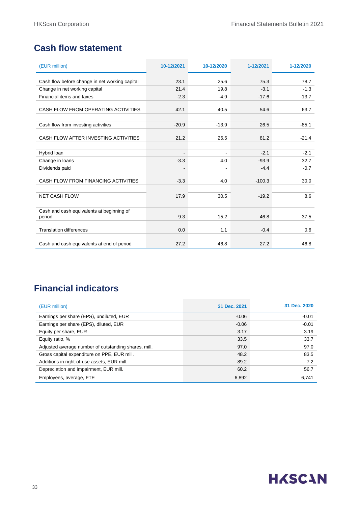### **Cash flow statement**

| (EUR million)                                       | 10-12/2021     | 10-12/2020     | 1-12/2021 | 1-12/2020 |
|-----------------------------------------------------|----------------|----------------|-----------|-----------|
| Cash flow before change in net working capital      | 23.1           | 25.6           | 75.3      | 78.7      |
|                                                     |                |                |           |           |
| Change in net working capital                       | 21.4           | 19.8           | $-3.1$    | $-1.3$    |
| Financial items and taxes                           | $-2.3$         | $-4.9$         | $-17.6$   | $-13.7$   |
| CASH FLOW FROM OPERATING ACTIVITIES                 | 42.1           | 40.5           | 54.6      | 63.7      |
| Cash flow from investing activities                 | $-20.9$        | $-13.9$        | 26.5      | $-85.1$   |
| CASH FLOW AFTER INVESTING ACTIVITIES                | 21.2           | 26.5           | 81.2      | $-21.4$   |
| Hybrid loan                                         | $\blacksquare$ | $\blacksquare$ | $-2.1$    | $-2.1$    |
| Change in loans                                     | $-3.3$         | 4.0            | $-93.9$   | 32.7      |
| Dividends paid                                      |                |                | $-4.4$    | $-0.7$    |
| CASH FLOW FROM FINANCING ACTIVITIES                 | $-3.3$         | 4.0            | $-100.3$  | 30.0      |
| <b>NET CASH FLOW</b>                                | 17.9           | 30.5           | $-19.2$   | 8.6       |
| Cash and cash equivalents at beginning of<br>period | 9.3            | 15.2           | 46.8      | 37.5      |
| <b>Translation differences</b>                      | 0.0            | 1.1            | $-0.4$    | 0.6       |
| Cash and cash equivalents at end of period          | 27.2           | 46.8           | 27.2      | 46.8      |

### **Financial indicators**

| (EUR million)                                        | 31 Dec. 2021 | 31 Dec. 2020 |
|------------------------------------------------------|--------------|--------------|
| Earnings per share (EPS), undiluted, EUR             | $-0.06$      | $-0.01$      |
| Earnings per share (EPS), diluted, EUR               | $-0.06$      | $-0.01$      |
| Equity per share, EUR                                | 3.17         | 3.19         |
| Equity ratio, %                                      | 33.5         | 33.7         |
| Adjusted average number of outstanding shares, mill. | 97.0         | 97.0         |
| Gross capital expenditure on PPE, EUR mill.          | 48.2         | 83.5         |
| Additions in right-of-use assets, EUR mill.          | 89.2         | 7.2          |
| Depreciation and impairment, EUR mill.               | 60.2         | 56.7         |
| Employees, average, FTE                              | 6,892        | 6,741        |

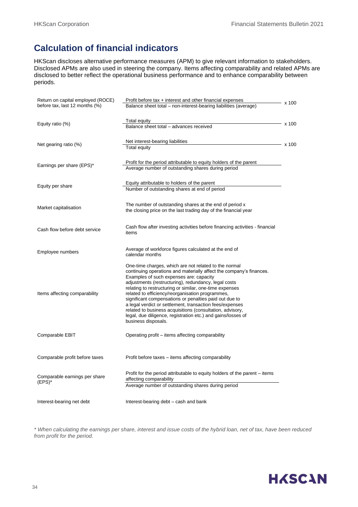### **Calculation of financial indicators**

HKScan discloses alternative performance measures (APM) to give relevant information to stakeholders. Disclosed APMs are also used in steering the company. Items affecting comparability and related APMs are disclosed to better reflect the operational business performance and to enhance comparability between periods.

| Return on capital employed (ROCE)<br>before tax, last 12 months (%) | Profit before tax + interest and other financial expenses<br>Balance sheet total - non-interest-bearing liabilities (average)                                                                                                                                                                                                                                                                                                                                                                                                                                                                                            | x 100 |
|---------------------------------------------------------------------|--------------------------------------------------------------------------------------------------------------------------------------------------------------------------------------------------------------------------------------------------------------------------------------------------------------------------------------------------------------------------------------------------------------------------------------------------------------------------------------------------------------------------------------------------------------------------------------------------------------------------|-------|
| Equity ratio $(\%)$                                                 | Total equity<br>Balance sheet total - advances received                                                                                                                                                                                                                                                                                                                                                                                                                                                                                                                                                                  | x 100 |
| Net gearing ratio (%)                                               | Net interest-bearing liabilities<br>Total equity                                                                                                                                                                                                                                                                                                                                                                                                                                                                                                                                                                         | x 100 |
| Earnings per share (EPS)*                                           | Profit for the period attributable to equity holders of the parent<br>Average number of outstanding shares during period                                                                                                                                                                                                                                                                                                                                                                                                                                                                                                 |       |
| Equity per share                                                    | Equity attributable to holders of the parent<br>Number of outstanding shares at end of period                                                                                                                                                                                                                                                                                                                                                                                                                                                                                                                            |       |
| Market capitalisation                                               | The number of outstanding shares at the end of period x<br>the closing price on the last trading day of the financial year                                                                                                                                                                                                                                                                                                                                                                                                                                                                                               |       |
| Cash flow before debt service                                       | Cash flow after investing activities before financing activities - financial<br>items                                                                                                                                                                                                                                                                                                                                                                                                                                                                                                                                    |       |
| Employee numbers                                                    | Average of workforce figures calculated at the end of<br>calendar months                                                                                                                                                                                                                                                                                                                                                                                                                                                                                                                                                 |       |
| Items affecting comparability                                       | One-time charges, which are not related to the normal<br>continuing operations and materially affect the company's finances.<br>Examples of such expenses are: capacity<br>adjustments (restructuring), redundancy, legal costs<br>relating to restructuring or similar, one-time expenses<br>related to efficiency/reorganisation programmes,<br>significant compensations or penalties paid out due to<br>a legal verdict or settlement, transaction fees/expenses<br>related to business acquisitions (consultation, advisory,<br>legal, due diligence, registration etc.) and gains/losses of<br>business disposals. |       |
| Comparable EBIT                                                     | Operating profit – items affecting comparability                                                                                                                                                                                                                                                                                                                                                                                                                                                                                                                                                                         |       |
| Comparable profit before taxes                                      | Profit before taxes – items affecting comparability                                                                                                                                                                                                                                                                                                                                                                                                                                                                                                                                                                      |       |
| Comparable earnings per share<br>$(EPS)^*$                          | Profit for the period attributable to equity holders of the parent – items<br>affecting comparability<br>Average number of outstanding shares during period                                                                                                                                                                                                                                                                                                                                                                                                                                                              |       |
| Interest-bearing net debt                                           | Interest-bearing debt – cash and bank                                                                                                                                                                                                                                                                                                                                                                                                                                                                                                                                                                                    |       |

*\* When calculating the earnings per share, interest and issue costs of the hybrid loan, net of tax, have been reduced from profit for the period.*

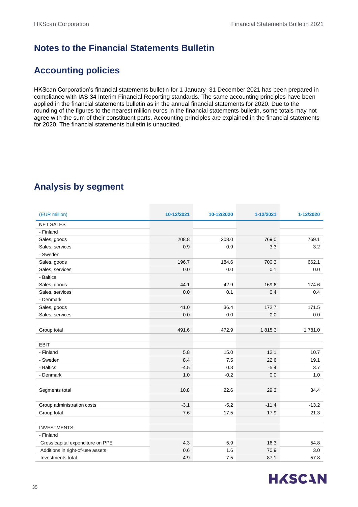### **Notes to the Financial Statements Bulletin**

### **Accounting policies**

HKScan Corporation's financial statements bulletin for 1 January–31 December 2021 has been prepared in compliance with IAS 34 Interim Financial Reporting standards. The same accounting principles have been applied in the financial statements bulletin as in the annual financial statements for 2020. Due to the rounding of the figures to the nearest million euros in the financial statements bulletin, some totals may not agree with the sum of their constituent parts. Accounting principles are explained in the financial statements for 2020. The financial statements bulletin is unaudited.

### **Analysis by segment**

| (EUR million)                    | 10-12/2021 | 10-12/2020 | 1-12/2021 | 1-12/2020 |
|----------------------------------|------------|------------|-----------|-----------|
| <b>NET SALES</b>                 |            |            |           |           |
| - Finland                        |            |            |           |           |
| Sales, goods                     | 208.8      | 208.0      | 769.0     | 769.1     |
| Sales, services                  | 0.9        | 0.9        | 3.3       | 3.2       |
| - Sweden                         |            |            |           |           |
| Sales, goods                     | 196.7      | 184.6      | 700.3     | 662.1     |
| Sales, services                  | 0.0        | 0.0        | 0.1       | 0.0       |
| - Baltics                        |            |            |           |           |
| Sales, goods                     | 44.1       | 42.9       | 169.6     | 174.6     |
| Sales, services                  | 0.0        | 0.1        | 0.4       | 0.4       |
| - Denmark                        |            |            |           |           |
| Sales, goods                     | 41.0       | 36.4       | 172.7     | 171.5     |
| Sales, services                  | 0.0        | 0.0        | 0.0       | 0.0       |
|                                  |            |            |           |           |
| Group total                      | 491.6      | 472.9      | 1815.3    | 1781.0    |
|                                  |            |            |           |           |
| <b>EBIT</b>                      |            |            |           |           |
| - Finland                        | 5.8        | 15.0       | 12.1      | 10.7      |
| - Sweden                         | 8.4        | 7.5        | 22.6      | 19.1      |
| - Baltics                        | $-4.5$     | 0.3        | $-5.4$    | 3.7       |
| - Denmark                        | 1.0        | $-0.2$     | 0.0       | 1.0       |
|                                  |            |            |           |           |
| Segments total                   | 10.8       | 22.6       | 29.3      | 34.4      |
|                                  |            |            |           |           |
| Group administration costs       | $-3.1$     | $-5.2$     | $-11.4$   | $-13.2$   |
| Group total                      | 7.6        | 17.5       | 17.9      | 21.3      |
|                                  |            |            |           |           |
| <b>INVESTMENTS</b>               |            |            |           |           |
| - Finland                        |            |            |           |           |
| Gross capital expenditure on PPE | 4.3        | 5.9        | 16.3      | 54.8      |
| Additions in right-of-use assets | 0.6        | 1.6        | 70.9      | 3.0       |
| Investments total                | 4.9        | 7.5        | 87.1      | 57.8      |

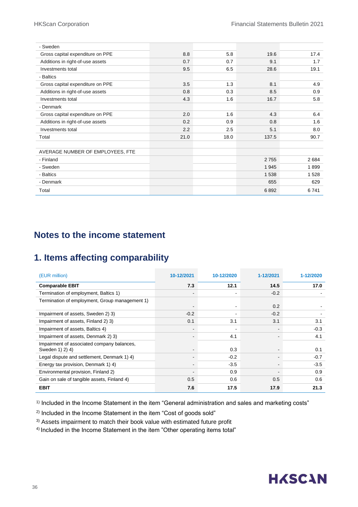| - Sweden                         |      |      |         |      |
|----------------------------------|------|------|---------|------|
| Gross capital expenditure on PPE | 8.8  | 5.8  | 19.6    | 17.4 |
| Additions in right-of-use assets | 0.7  | 0.7  | 9.1     | 1.7  |
| Investments total                | 9.5  | 6.5  | 28.6    | 19.1 |
| - Baltics                        |      |      |         |      |
| Gross capital expenditure on PPE | 3.5  | 1.3  | 8.1     | 4.9  |
| Additions in right-of-use assets | 0.8  | 0.3  | 8.5     | 0.9  |
| Investments total                | 4.3  | 1.6  | 16.7    | 5.8  |
| - Denmark                        |      |      |         |      |
| Gross capital expenditure on PPE | 2.0  | 1.6  | 4.3     | 6.4  |
| Additions in right-of-use assets | 0.2  | 0.9  | 0.8     | 1.6  |
| Investments total                | 2.2  | 2.5  | 5.1     | 8.0  |
| Total                            | 21.0 | 18.0 | 137.5   | 90.7 |
| AVERAGE NUMBER OF EMPLOYEES, FTE |      |      |         |      |
| - Finland                        |      |      | 2755    | 2684 |
| - Sweden                         |      |      | 1 9 4 5 | 1899 |
| - Baltics                        |      |      | 1 5 3 8 | 1528 |
| - Denmark                        |      |      | 655     | 629  |
| Total                            |      |      | 6892    | 6741 |

### **Notes to the income statement**

### **1. Items affecting comparability**

| (EUR million)                                                 | 10-12/2021 | 10-12/2020 | 1-12/2021 | 1-12/2020 |
|---------------------------------------------------------------|------------|------------|-----------|-----------|
| <b>Comparable EBIT</b>                                        | 7.3        | 12.1       | 14.5      | 17.0      |
| Termination of employment, Baltics 1)                         |            |            | $-0.2$    |           |
| Termination of employment, Group management 1)                |            |            | 0.2       |           |
| Impairment of assets, Sweden 2) 3)                            | $-0.2$     |            | $-0.2$    |           |
| Impairment of assets, Finland 2) 3)                           | 0.1        | 3.1        | 3.1       | 3.1       |
| Impairment of assets, Baltics 4)                              |            |            |           | $-0.3$    |
| Impairment of assets, Denmark 2) 3)                           |            | 4.1        |           | 4.1       |
| Impairment of associated company balances,<br>Sweden 1) 2) 4) |            | 0.3        |           | 0.1       |
| Legal dispute and settlement, Denmark 1) 4)                   |            | $-0.2$     |           | $-0.7$    |
| Energy tax provision, Denmark 1) 4)                           |            | $-3.5$     |           | $-3.5$    |
| Environmental provision, Finland 2)                           |            | 0.9        |           | 0.9       |
| Gain on sale of tangible assets, Finland 4)                   | 0.5        | 0.6        | 0.5       | 0.6       |
| <b>EBIT</b>                                                   | 7.6        | 17.5       | 17.9      | 21.3      |

1) Included in the Income Statement in the item "General administration and sales and marketing costs"

2) Included in the Income Statement in the item "Cost of goods sold"

<sup>3)</sup> Assets impairment to match their book value with estimated future profit

4) Included in the Income Statement in the item "Other operating items total"

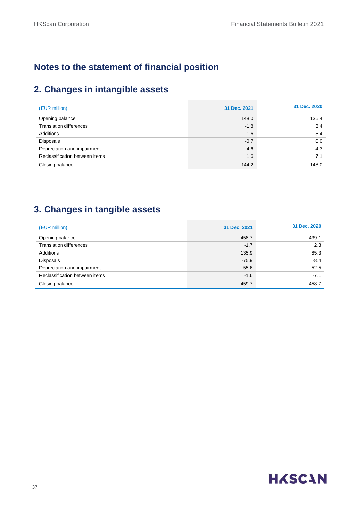### **Notes to the statement of financial position**

### **2. Changes in intangible assets**

| (EUR million)                  | 31 Dec. 2021 | 31 Dec. 2020 |
|--------------------------------|--------------|--------------|
| Opening balance                | 148.0        | 136.4        |
| <b>Translation differences</b> | $-1.8$       | 3.4          |
| Additions                      | 1.6          | 5.4          |
| Disposals                      | $-0.7$       | 0.0          |
| Depreciation and impairment    | $-4.6$       | $-4.3$       |
| Reclassification between items | 1.6          | 7.1          |
| Closing balance                | 144.2        | 148.0        |

### **3. Changes in tangible assets**

| (EUR million)                  | 31 Dec. 2021 | 31 Dec. 2020 |
|--------------------------------|--------------|--------------|
| Opening balance                | 458.7        | 439.1        |
| <b>Translation differences</b> | $-1.7$       | 2.3          |
| Additions                      | 135.9        | 85.3         |
| <b>Disposals</b>               | $-75.9$      | $-8.4$       |
| Depreciation and impairment    | $-55.6$      | $-52.5$      |
| Reclassification between items | $-1.6$       | $-7.1$       |
| Closing balance                | 459.7        | 458.7        |

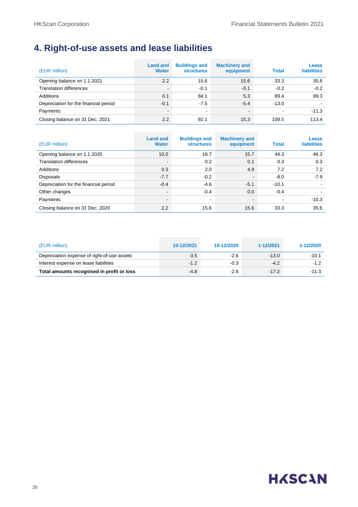### **4. Right-of-use assets and lease liabilities**

| (EUR million)                         | <b>Land and</b><br><b>Water</b> | <b>Buildings and</b><br><b>structures</b> | <b>Machinery and</b><br>equipment | <b>Total</b> | Lease<br><b>liabilities</b> |
|---------------------------------------|---------------------------------|-------------------------------------------|-----------------------------------|--------------|-----------------------------|
| Opening balance on 1.1.2021           | 2.2                             | 15.6                                      | 15.6                              | 33.3         | 35.6                        |
| <b>Translation differences</b>        | $\sim$                          | $-0.1$                                    | $-0.1$                            | $-0.2$       | $-0.2$                      |
| Additions                             | 0.1                             | 84.1                                      | 5.3                               | 89.4         | 89.3                        |
| Depreciation for the financial period | $-0.1$                          | $-7.5$                                    | $-5.4$                            | $-13.0$      |                             |
| Payments                              | $\sim$                          | $\blacksquare$                            |                                   |              | $-11.3$                     |
| Closing balance on 31 Dec. 2021       | 2.2                             | 92.1                                      | 15.3                              | 109.5        | 113.4                       |

| (EUR million)                         | <b>Land and</b><br><b>Water</b> | <b>Buildings and</b><br><b>structures</b> | <b>Machinery and</b><br>equipment | <b>Total</b> | Lease<br><b>liabilities</b> |
|---------------------------------------|---------------------------------|-------------------------------------------|-----------------------------------|--------------|-----------------------------|
| Opening balance on 1.1.2020           | 10.0                            | 18.7                                      | 15.7                              | 44.3         | 46.3                        |
| <b>Translation differences</b>        | $\blacksquare$                  | 0.2                                       | 0.1                               | 0.3          | 0.3                         |
| Additions                             | 0.3                             | 2.0                                       | 4.9                               | 7.2          | 7.2                         |
| <b>Disposals</b>                      | $-7.7$                          | $-0.2$                                    | $\sim$                            | $-8.0$       | $-7.9$                      |
| Depreciation for the financial period | $-0.4$                          | $-4.6$                                    | $-5.1$                            | $-10.1$      |                             |
| Other changes                         | $\blacksquare$                  | $-0.4$                                    | 0.0                               | $-0.4$       |                             |
| Payments                              | $\blacksquare$                  | $\blacksquare$                            | $\sim$                            |              | $-10.3$                     |
| Closing balance on 31 Dec. 2020       | 2.2                             | 15.6                                      | 15.6                              | 33.3         | 35.6                        |

| (EUR million)                               | 10-12/2021 | 10-12/2020 | 1-12/2021 | 1-12/2020 |
|---------------------------------------------|------------|------------|-----------|-----------|
| Depreciation expense of right-of-use assets | $-3.5$     | $-2.6$     | $-13.0$   | $-10.1$   |
| Interest expense on lease liabilities       | $-1.2$     | $-0.3$     | $-4.2$    | $-1.2$    |
| Total amounts recognised in profit or loss  | $-4.8$     | $-2.8$     | $-17.2$   | $-11.3$   |

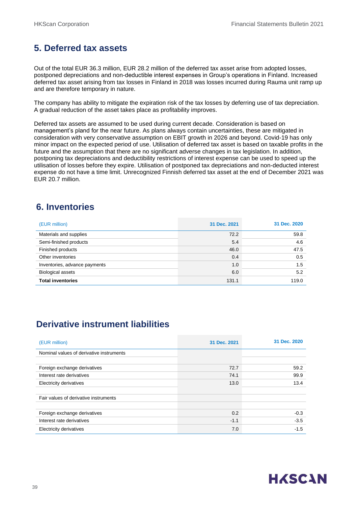### **5. Deferred tax assets**

Out of the total EUR 36.3 million, EUR 28.2 million of the deferred tax asset arise from adopted losses, postponed depreciations and non-deductible interest expenses in Group's operations in Finland. Increased deferred tax asset arising from tax losses in Finland in 2018 was losses incurred during Rauma unit ramp up and are therefore temporary in nature.

The company has ability to mitigate the expiration risk of the tax losses by deferring use of tax depreciation. A gradual reduction of the asset takes place as profitability improves.

Deferred tax assets are assumed to be used during current decade. Consideration is based on management's pland for the near future. As plans always contain uncertainties, these are mitigated in consideration with very conservative assumption on EBIT growth in 2026 and beyond. Covid-19 has only minor impact on the expected period of use. Utilisation of deferred tax asset is based on taxable profits in the future and the assumption that there are no significant adverse changes in tax legislation. In addition, postponing tax depreciations and deductibility restrictions of interest expense can be used to speed up the utilisation of losses before they expire. Utilisation of postponed tax depreciations and non-deducted interest expense do not have a time limit. Unrecognized Finnish deferred tax asset at the end of December 2021 was EUR 20.7 million.

### **6. Inventories**

| (EUR million)                 | 31 Dec. 2021 | 31 Dec. 2020 |
|-------------------------------|--------------|--------------|
| Materials and supplies        | 72.2         | 59.8         |
| Semi-finished products        | 5.4          | 4.6          |
| Finished products             | 46.0         | 47.5         |
| Other inventories             | 0.4          | 0.5          |
| Inventories, advance payments | 1.0          | 1.5          |
| <b>Biological assets</b>      | 6.0          | 5.2          |
| <b>Total inventories</b>      | 131.1        | 119.0        |

### **Derivative instrument liabilities**

| (EUR million)                            | 31 Dec. 2021 | 31 Dec. 2020 |
|------------------------------------------|--------------|--------------|
| Nominal values of derivative instruments |              |              |
|                                          |              |              |
| Foreign exchange derivatives             | 72.7         | 59.2         |
| Interest rate derivatives                | 74.1         | 99.9         |
| Electricity derivatives                  | 13.0         | 13.4         |
|                                          |              |              |
| Fair values of derivative instruments    |              |              |
|                                          |              |              |
| Foreign exchange derivatives             | 0.2          | $-0.3$       |
| Interest rate derivatives                | $-1.1$       | $-3.5$       |
| Electricity derivatives                  | 7.0          | $-1.5$       |

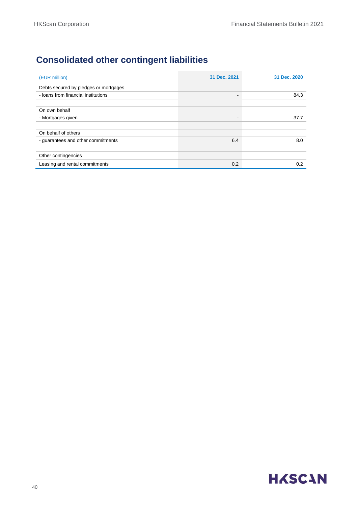### **Consolidated other contingent liabilities**

| (EUR million)                         | 31 Dec. 2021 | 31 Dec. 2020 |
|---------------------------------------|--------------|--------------|
| Debts secured by pledges or mortgages |              |              |
| - loans from financial institutions   |              | 84.3         |
|                                       |              |              |
| On own behalf                         |              |              |
| - Mortgages given                     | -            | 37.7         |
|                                       |              |              |
| On behalf of others                   |              |              |
| - guarantees and other commitments    | 6.4          | 8.0          |
|                                       |              |              |
| Other contingencies                   |              |              |
| Leasing and rental commitments        | 0.2          | 0.2          |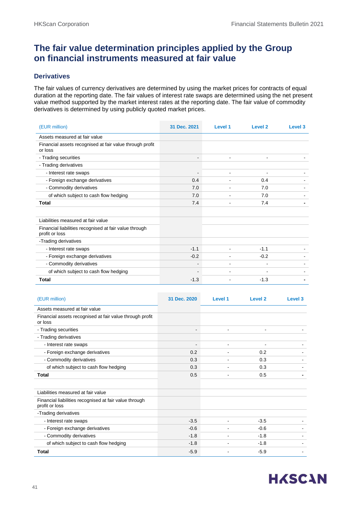### **The fair value determination principles applied by the Group on financial instruments measured at fair value**

#### **Derivatives**

The fair values of currency derivatives are determined by using the market prices for contracts of equal duration at the reporting date. The fair values of interest rate swaps are determined using the net present value method supported by the market interest rates at the reporting date. The fair value of commodity derivatives is determined by using publicly quoted market prices.

| (EUR million)                                                            | 31 Dec. 2021             | Level 1                  | Level <sub>2</sub> | Level 3 |
|--------------------------------------------------------------------------|--------------------------|--------------------------|--------------------|---------|
| Assets measured at fair value                                            |                          |                          |                    |         |
| Financial assets recognised at fair value through profit<br>or loss      |                          |                          |                    |         |
| - Trading securities                                                     | $\overline{\phantom{0}}$ | $\overline{\phantom{a}}$ |                    |         |
| - Trading derivatives                                                    |                          |                          |                    |         |
| - Interest rate swaps                                                    | ۰                        | $\blacksquare$           |                    |         |
| - Foreign exchange derivatives                                           | 0.4                      |                          | 0.4                |         |
| - Commodity derivatives                                                  | 7.0                      |                          | 7.0                |         |
| of which subject to cash flow hedging                                    | 7.0                      |                          | 7.0                |         |
| <b>Total</b>                                                             | 7.4                      |                          | 7.4                |         |
|                                                                          |                          |                          |                    |         |
| Liabilities measured at fair value                                       |                          |                          |                    |         |
| Financial liabilities recognised at fair value through<br>profit or loss |                          |                          |                    |         |
| -Trading derivatives                                                     |                          |                          |                    |         |
| - Interest rate swaps                                                    | $-1.1$                   |                          | $-1.1$             |         |
| - Foreign exchange derivatives                                           | $-0.2$                   |                          | $-0.2$             |         |
| - Commodity derivatives                                                  |                          |                          |                    |         |
| of which subject to cash flow hedging                                    | $\overline{\phantom{0}}$ |                          |                    |         |
| <b>Total</b>                                                             | $-1.3$                   |                          | $-1.3$             |         |

| (EUR million)                                                            | 31 Dec. 2020             | Level 1 | Level <sub>2</sub> | Level <sub>3</sub>       |
|--------------------------------------------------------------------------|--------------------------|---------|--------------------|--------------------------|
| Assets measured at fair value                                            |                          |         |                    |                          |
| Financial assets recognised at fair value through profit<br>or loss      |                          |         |                    |                          |
| - Trading securities                                                     |                          |         |                    |                          |
| - Trading derivatives                                                    |                          |         |                    |                          |
| - Interest rate swaps                                                    | $\overline{\phantom{a}}$ |         |                    |                          |
| - Foreign exchange derivatives                                           | 0.2                      |         | 0.2                |                          |
| - Commodity derivatives                                                  | 0.3                      |         | 0.3                |                          |
| of which subject to cash flow hedging                                    | 0.3                      |         | 0.3                |                          |
| Total                                                                    | 0.5                      |         | 0.5                |                          |
| Liabilities measured at fair value                                       |                          |         |                    |                          |
| Financial liabilities recognised at fair value through<br>profit or loss |                          |         |                    |                          |
| -Trading derivatives                                                     |                          |         |                    |                          |
| - Interest rate swaps                                                    | $-3.5$                   |         | $-3.5$             |                          |
| - Foreign exchange derivatives                                           | $-0.6$                   |         | $-0.6$             |                          |
| - Commodity derivatives                                                  | $-1.8$                   |         | $-1.8$             |                          |
| of which subject to cash flow hedging                                    | $-1.8$                   |         | $-1.8$             | $\overline{\phantom{a}}$ |
| <b>Total</b>                                                             | $-5.9$                   |         | $-5.9$             |                          |